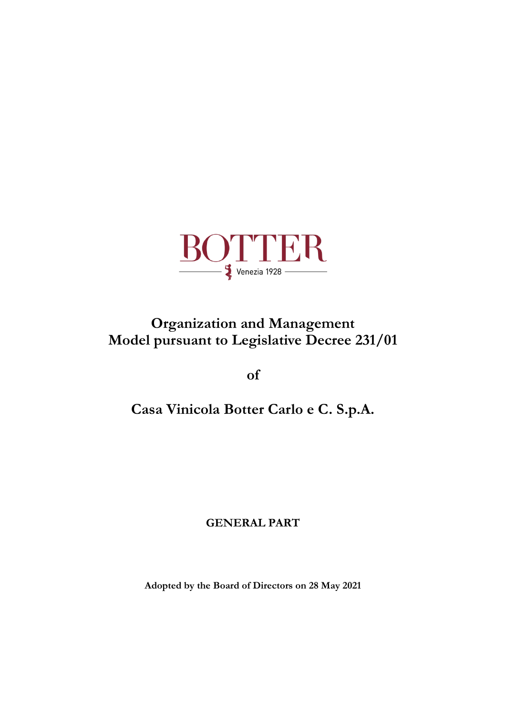

# **Organization and Management Model pursuant to Legislative Decree 231/01**

**of**

# **Casa Vinicola Botter Carlo e C. S.p.A.**

# **GENERAL PART**

**Adopted by the Board of Directors on 28 May 2021**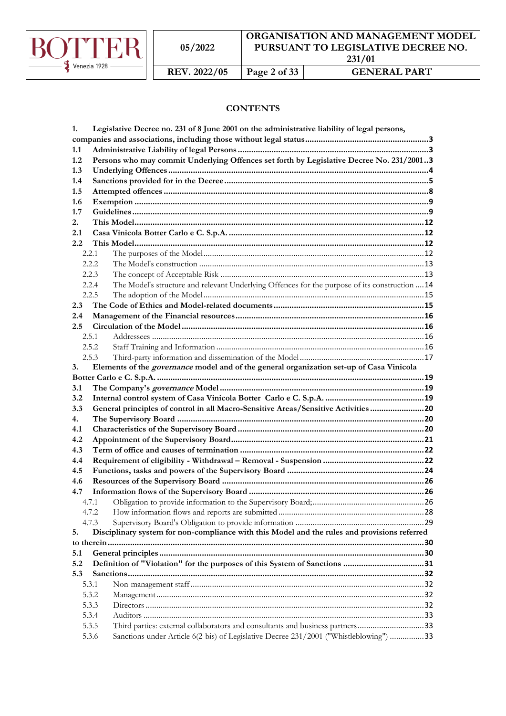

# **CONTENTS**

| 1.                                                                                                 |                                                                                        | Legislative Decree no. 231 of 8 June 2001 on the administrative liability of legal persons,     |  |  |  |
|----------------------------------------------------------------------------------------------------|----------------------------------------------------------------------------------------|-------------------------------------------------------------------------------------------------|--|--|--|
|                                                                                                    |                                                                                        |                                                                                                 |  |  |  |
| 1.1                                                                                                |                                                                                        |                                                                                                 |  |  |  |
| 1.2                                                                                                |                                                                                        | Persons who may commit Underlying Offences set forth by Legislative Decree No. 231/20013        |  |  |  |
| 1.3                                                                                                |                                                                                        |                                                                                                 |  |  |  |
| 1.4                                                                                                |                                                                                        |                                                                                                 |  |  |  |
| 1.5                                                                                                |                                                                                        |                                                                                                 |  |  |  |
| 1.6                                                                                                |                                                                                        |                                                                                                 |  |  |  |
| 1.7                                                                                                |                                                                                        |                                                                                                 |  |  |  |
| 2.                                                                                                 |                                                                                        |                                                                                                 |  |  |  |
| 2.1                                                                                                |                                                                                        |                                                                                                 |  |  |  |
| 2.2                                                                                                |                                                                                        |                                                                                                 |  |  |  |
|                                                                                                    | 2.2.1                                                                                  |                                                                                                 |  |  |  |
|                                                                                                    | 2.2.2                                                                                  |                                                                                                 |  |  |  |
|                                                                                                    | 2.2.3                                                                                  |                                                                                                 |  |  |  |
|                                                                                                    | 2.2.4                                                                                  | The Model's structure and relevant Underlying Offences for the purpose of its construction  14  |  |  |  |
|                                                                                                    | 2.2.5                                                                                  |                                                                                                 |  |  |  |
| 2.3                                                                                                |                                                                                        |                                                                                                 |  |  |  |
| 2.4                                                                                                |                                                                                        |                                                                                                 |  |  |  |
| 2.5                                                                                                |                                                                                        |                                                                                                 |  |  |  |
|                                                                                                    | 2.5.1<br>2.5.2                                                                         |                                                                                                 |  |  |  |
|                                                                                                    | 2.5.3                                                                                  |                                                                                                 |  |  |  |
| 3.                                                                                                 |                                                                                        | Elements of the <i>governance</i> model and of the general organization set-up of Casa Vinicola |  |  |  |
|                                                                                                    |                                                                                        |                                                                                                 |  |  |  |
| 3.1                                                                                                |                                                                                        |                                                                                                 |  |  |  |
| 3.2                                                                                                |                                                                                        |                                                                                                 |  |  |  |
| 3.3                                                                                                | General principles of control in all Macro-Sensitive Areas/Sensitive Activities 20     |                                                                                                 |  |  |  |
| 4.                                                                                                 |                                                                                        |                                                                                                 |  |  |  |
| 4.1                                                                                                |                                                                                        |                                                                                                 |  |  |  |
| 4.2                                                                                                |                                                                                        |                                                                                                 |  |  |  |
| 4.3                                                                                                |                                                                                        |                                                                                                 |  |  |  |
| 4.4                                                                                                |                                                                                        |                                                                                                 |  |  |  |
| 4.5                                                                                                |                                                                                        |                                                                                                 |  |  |  |
| 4.6                                                                                                |                                                                                        |                                                                                                 |  |  |  |
| 4.7                                                                                                |                                                                                        |                                                                                                 |  |  |  |
|                                                                                                    | 4.7.1                                                                                  |                                                                                                 |  |  |  |
|                                                                                                    | 4.7.2                                                                                  |                                                                                                 |  |  |  |
|                                                                                                    | 4.7.3                                                                                  |                                                                                                 |  |  |  |
| Disciplinary system for non-compliance with this Model and the rules and provisions referred<br>5. |                                                                                        |                                                                                                 |  |  |  |
|                                                                                                    |                                                                                        |                                                                                                 |  |  |  |
| 5.1                                                                                                |                                                                                        |                                                                                                 |  |  |  |
| 5.2                                                                                                |                                                                                        | Definition of "Violation" for the purposes of this System of Sanctions 31                       |  |  |  |
| 5.3                                                                                                |                                                                                        |                                                                                                 |  |  |  |
|                                                                                                    | 5.3.1                                                                                  |                                                                                                 |  |  |  |
|                                                                                                    | 5.3.2                                                                                  |                                                                                                 |  |  |  |
|                                                                                                    | 5.3.3                                                                                  |                                                                                                 |  |  |  |
|                                                                                                    | 5.3.4                                                                                  |                                                                                                 |  |  |  |
|                                                                                                    | Third parties: external collaborators and consultants and business partners33<br>5.3.5 |                                                                                                 |  |  |  |
|                                                                                                    | 5.3.6                                                                                  | Sanctions under Article 6(2-bis) of Legislative Decree 231/2001 ("Whistleblowing") 33           |  |  |  |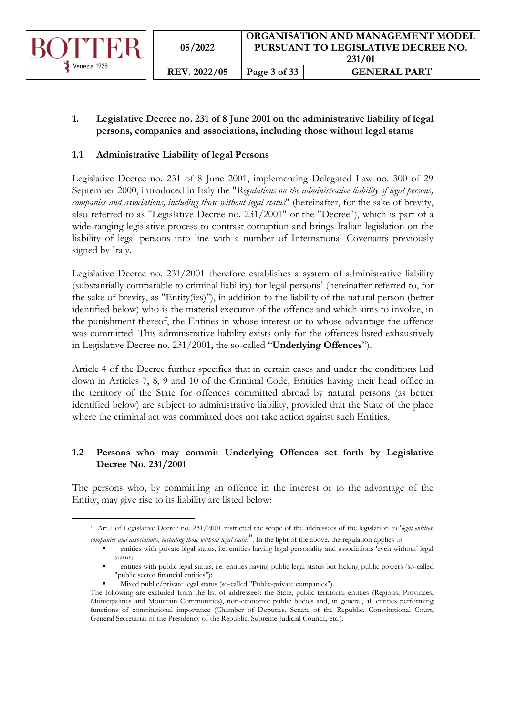

# <span id="page-2-0"></span>**1. Legislative Decree no. 231 of 8 June 2001 on the administrative liability of legal persons, companies and associations, including those without legal status**

# <span id="page-2-1"></span>**1.1 Administrative Liability of legal Persons**

Legislative Decree no. 231 of 8 June 2001, implementing Delegated Law no. 300 of 29 September 2000, introduced in Italy the "*Regulations on the administrative liability of legal persons, companies and associations, including those without legal status*" (hereinafter, for the sake of brevity, also referred to as "Legislative Decree no. 231/2001" or the "Decree"), which is part of a wide-ranging legislative process to contrast corruption and brings Italian legislation on the liability of legal persons into line with a number of International Covenants previously signed by Italy.

Legislative Decree no. 231/2001 therefore establishes a system of administrative liability (substantially comparable to criminal liability) for legal persons<sup>1</sup> (hereinafter referred to, for the sake of brevity, as "Entity(ies)"), in addition to the liability of the natural person (better identified below) who is the material executor of the offence and which aims to involve, in the punishment thereof, the Entities in whose interest or to whose advantage the offence was committed. This administrative liability exists only for the offences listed exhaustively in Legislative Decree no. 231/2001, the so-called "**Underlying Offences**").

Article 4 of the Decree further specifies that in certain cases and under the conditions laid down in Articles 7, 8, 9 and 10 of the Criminal Code, Entities having their head office in the territory of the State for offences committed abroad by natural persons (as better identified below) are subject to administrative liability, provided that the State of the place where the criminal act was committed does not take action against such Entities.

# <span id="page-2-2"></span>**1.2 Persons who may commit Underlying Offences set forth by Legislative Decree No. 231/2001**

The persons who, by committing an offence in the interest or to the advantage of the Entity, may give rise to its liability are listed below:

Mixed public/private legal status (so-called "Public-private companies").

<sup>1</sup> Art.1 of Legislative Decree no. 231/2001 restricted the scope of the addressees of the legislation to '*legal entities, companies and associations, including those without legal status*". In the light of the above, the regulation applies to:

<sup>▪</sup> entities with private legal status, i.e. entities having legal personality and associations 'even without' legal status:

entities with public legal status, i.e. entities having public legal status but lacking public powers (so-called "public sector financial entities");

The following are excluded from the list of addressees: the State, public territorial entities (Regions, Provinces, Municipalities and Mountain Communities), non-economic public bodies and, in general, all entities performing functions of constitutional importance (Chamber of Deputies, Senate of the Republic, Constitutional Court, General Secretariat of the Presidency of the Republic, Supreme Judicial Council, etc.).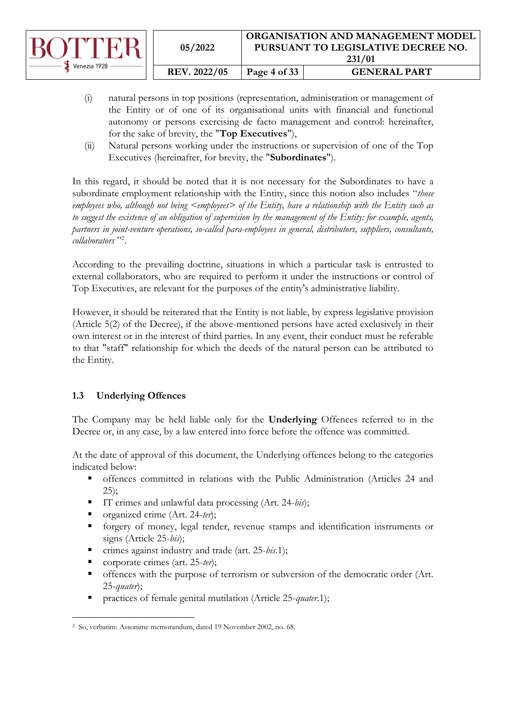|                                    | 05/2022      |              | ORGANISATION AND MANAGEMENT MODEL<br>PURSUANT TO LEGISLATIVE DECREE NO.<br>231/01 |
|------------------------------------|--------------|--------------|-----------------------------------------------------------------------------------|
| $\blacktriangleright$ Venezia 1928 | REV. 2022/05 | Page 4 of 33 | <b>GENERAL PART</b>                                                               |

- (i) natural persons in top positions (representation, administration or management of the Entity or of one of its organisational units with financial and functional autonomy or persons exercising de facto management and control: hereinafter, for the sake of brevity, the "**Top Executives**"),
- (ii) Natural persons working under the instructions or supervision of one of the Top Executives (hereinafter, for brevity, the "**Subordinates**").

In this regard, it should be noted that it is not necessary for the Subordinates to have a subordinate employment relationship with the Entity, since this notion also includes "*those employees who, although not being <employees> of the Entity, have a relationship with the Entity such as to suggest the existence of an obligation of supervision by the management of the Entity: for example, agents, partners in joint-venture operations, so-called para-employees in general, distributors, suppliers, consultants, collaborators* " 2 .

According to the prevailing doctrine, situations in which a particular task is entrusted to external collaborators, who are required to perform it under the instructions or control of Top Executives, are relevant for the purposes of the entity's administrative liability.

However, it should be reiterated that the Entity is not liable, by express legislative provision (Article 5(2) of the Decree), if the above-mentioned persons have acted exclusively in their own interest or in the interest of third parties. In any event, their conduct must be referable to that "staff" relationship for which the deeds of the natural person can be attributed to the Entity.

# <span id="page-3-0"></span>**1.3 Underlying Offences**

The Company may be held liable only for the **Underlying** Offences referred to in the Decree or, in any case, by a law entered into force before the offence was committed.

At the date of approval of this document, the Underlying offences belong to the categories indicated below:

- offences committed in relations with the Public Administration (Articles 24 and 25);
- IT crimes and unlawful data processing (Art. 24-*bis*);
- organized crime (Art. 24-*ter*);
- forgery of money, legal tender, revenue stamps and identification instruments or signs (Article 25-*bis*);
- crimes against industry and trade (art. 25*-bis*.1);
- corporate crimes (art. 25-*ter*);
- offences with the purpose of terrorism or subversion of the democratic order (Art. 25-*quater*);
- practices of female genital mutilation (Article 25-*quater*.1);

<sup>2</sup> So, verbatim: Assonime memorandum, dated 19 November 2002, no. 68.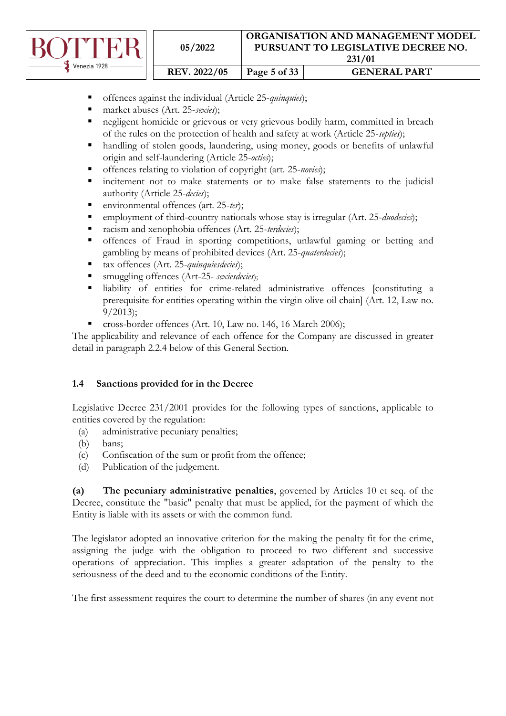

| 05/2022             | ORGANISATION AND MANAGEMENT MODEL<br>PURSUANT TO LEGISLATIVE DECREE NO.<br>231/01 |                     |  |  |
|---------------------|-----------------------------------------------------------------------------------|---------------------|--|--|
| <b>REV. 2022/05</b> | Page 5 of 33                                                                      | <b>GENERAL PART</b> |  |  |

- offences against the individual (Article 25-*quinquies*);
- market abuses (Art. 25-*sexies*);
- negligent homicide or grievous or very grievous bodily harm, committed in breach of the rules on the protection of health and safety at work (Article 25-*septies*);
- handling of stolen goods, laundering, using money, goods or benefits of unlawful origin and self-laundering (Article 25-*octies*);
- offences relating to violation of copyright (art. 25*-novies*);
- **EXECUTE:** incitement not to make statements or to make false statements to the judicial authority (Article 25-*decies*);
- environmental offences (art. 25-ter);
- employment of third-country nationals whose stay is irregular (Art. 25-*duodecies*);
- racism and xenophobia offences (Art. 25-*terdecies*);
- offences of Fraud in sporting competitions, unlawful gaming or betting and gambling by means of prohibited devices (Art. 25-*quaterdecies*);
- tax offences (Art. 25-*quinquiesdecies*);
- smuggling offences (Art-25- *sexiesdecies*);
- liability of entities for crime-related administrative offences [constituting a prerequisite for entities operating within the virgin olive oil chain] (Art. 12, Law no. 9/2013);
- cross-border offences (Art. 10, Law no. 146, 16 March 2006);

The applicability and relevance of each offence for the Company are discussed in greater detail in paragraph 2.2.4 below of this General Section.

# <span id="page-4-0"></span>**1.4 Sanctions provided for in the Decree**

Legislative Decree 231/2001 provides for the following types of sanctions, applicable to entities covered by the regulation:

- (a) administrative pecuniary penalties;
- (b) bans;
- (c) Confiscation of the sum or profit from the offence;
- (d) Publication of the judgement.

**(a) The pecuniary administrative penalties**, governed by Articles 10 et seq. of the Decree, constitute the "basic" penalty that must be applied, for the payment of which the Entity is liable with its assets or with the common fund.

The legislator adopted an innovative criterion for the making the penalty fit for the crime, assigning the judge with the obligation to proceed to two different and successive operations of appreciation. This implies a greater adaptation of the penalty to the seriousness of the deed and to the economic conditions of the Entity.

The first assessment requires the court to determine the number of shares (in any event not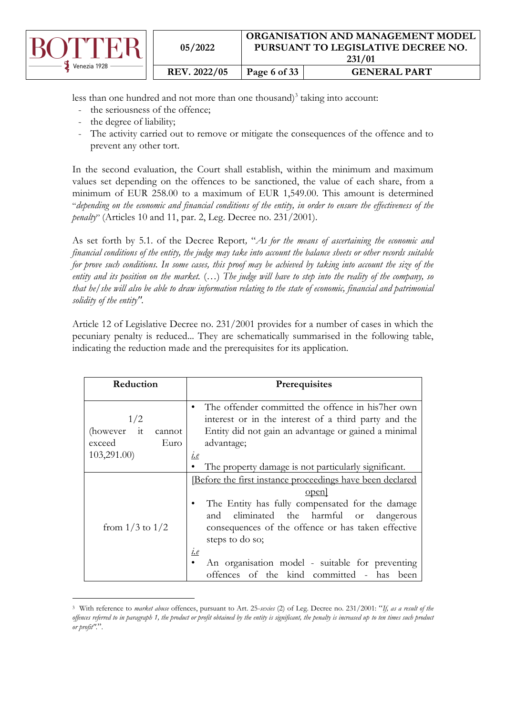|              | 05/2022             |              | <b>ORGANISATION AND MANAGEMENT MODEL</b><br>PURSUANT TO LEGISLATIVE DECREE NO.<br>231/01 |
|--------------|---------------------|--------------|------------------------------------------------------------------------------------------|
| Venezia 1928 | <b>REV. 2022/05</b> | Page 6 of 33 | <b>GENERAL PART</b>                                                                      |

less than one hundred and not more than one thousand) $3$  taking into account:

- the seriousness of the offence;
- the degree of liability;
- The activity carried out to remove or mitigate the consequences of the offence and to prevent any other tort.

In the second evaluation, the Court shall establish, within the minimum and maximum values set depending on the offences to be sanctioned, the value of each share, from a minimum of EUR 258.00 to a maximum of EUR 1,549.00. This amount is determined "*depending on the economic and financial conditions of the entity, in order to ensure the effectiveness of the penalty*" (Articles 10 and 11, par. 2, Leg. Decree no. 231/2001).

As set forth by 5.1. of the Decree Report*,* "*As for the means of ascertaining the economic and financial conditions of the entity, the judge may take into account the balance sheets or other records suitable for prove such conditions. In some cases, this proof may be achieved by taking into account the size of the entity and its position on the market.* (…) *The judge will have to step into the reality of the company, so that he/she will also be able to draw information relating to the state of economic, financial and patrimonial solidity of the entity".*

Article 12 of Legislative Decree no. 231/2001 provides for a number of cases in which the pecuniary penalty is reduced... They are schematically summarised in the following table, indicating the reduction made and the prerequisites for its application.

| Reduction                                                     | Prerequisites                                                                                                                                                                                                                                                                                                                                                   |
|---------------------------------------------------------------|-----------------------------------------------------------------------------------------------------------------------------------------------------------------------------------------------------------------------------------------------------------------------------------------------------------------------------------------------------------------|
| 1/2<br>(however it<br>cannot<br>exceed<br>Euro<br>103,291.00) | The offender committed the offence in his7her own<br>interest or in the interest of a third party and the<br>Entity did not gain an advantage or gained a minimal<br>advantage;<br>i.e<br>The property damage is not particularly significant.                                                                                                                  |
| from $1/3$ to $1/2$                                           | Before the first instance proceedings have been declared<br>open<br>The Entity has fully compensated for the damage<br>and eliminated the harmful or dangerous<br>consequences of the offence or has taken effective<br>steps to do so;<br><u><i>i.e</i></u><br>An organisation model - suitable for preventing<br>offences of the kind committed - has<br>been |

<sup>3</sup> With reference to *market abuse* offences, pursuant to Art. 25-*sexies* (2) of Leg. Decree no. 231/2001: "*If, as a result of the offences referred to in paragraph 1, the product or profit obtained by the entity is significant, the penalty is increased up to ten times such product or profit".*".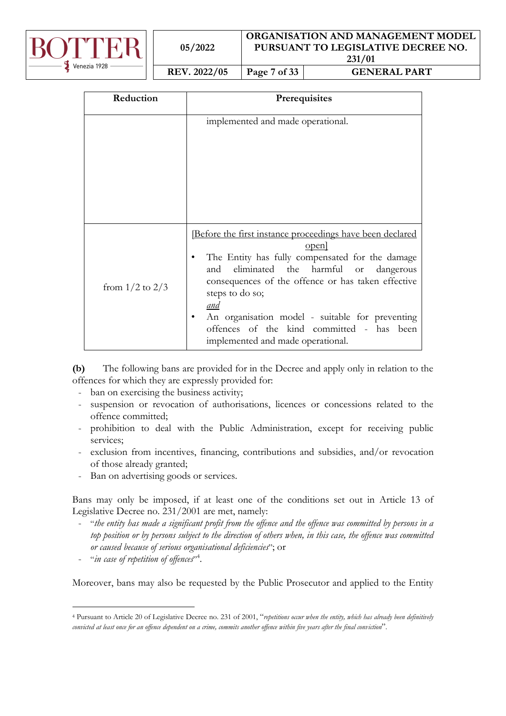

| 05/2022 |
|---------|
|---------|

#### **ORGANISATION AND MANAGEMENT MODEL PURSUANT TO LEGISLATIVE DECREE NO. 231/01**

**REV. 2022/05 Page 7 of 33 GENERAL PART**

| Reduction           | Prerequisites                                                                                                                                                                                                                                                                                                                                                                                  |
|---------------------|------------------------------------------------------------------------------------------------------------------------------------------------------------------------------------------------------------------------------------------------------------------------------------------------------------------------------------------------------------------------------------------------|
|                     | implemented and made operational.                                                                                                                                                                                                                                                                                                                                                              |
| from $1/2$ to $2/3$ | <u>Before the first instance proceedings have been declared</u><br>open]<br>The Entity has fully compensated for the damage<br>eliminated the harmful or dangerous<br>and<br>consequences of the offence or has taken effective<br>steps to do so;<br>and<br>An organisation model - suitable for preventing<br>offences of the kind committed - has been<br>implemented and made operational. |

**(b)** The following bans are provided for in the Decree and apply only in relation to the offences for which they are expressly provided for:

- ban on exercising the business activity;
- suspension or revocation of authorisations, licences or concessions related to the offence committed;
- prohibition to deal with the Public Administration, except for receiving public services;
- exclusion from incentives, financing, contributions and subsidies, and/or revocation of those already granted;
- Ban on advertising goods or services.

Bans may only be imposed, if at least one of the conditions set out in Article 13 of Legislative Decree no. 231/2001 are met, namely:

- "*the entity has made a significant profit from the offence and the offence was committed by persons in a top position or by persons subject to the direction of others when, in this case, the offence was committed or caused because of serious organisational deficiencies*"; or
- "in case of repetition of offences"<sup>4</sup>.

Moreover, bans may also be requested by the Public Prosecutor and applied to the Entity

<sup>4</sup> Pursuant to Article 20 of Legislative Decree no. 231 of 2001, "*repetitions occur when the entity, which has already been definitively convicted at least once for an offence dependent on a crime, commits another offence within five years after the final conviction*".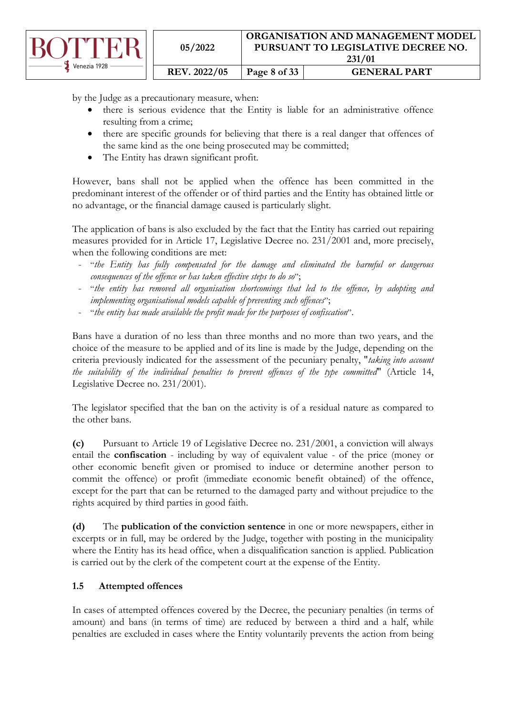|              | 05/2022             | ORGANISATION AND MANAGEMENT MODEL<br>PURSUANT TO LEGISLATIVE DECREE NO.<br>231/01 |                     |
|--------------|---------------------|-----------------------------------------------------------------------------------|---------------------|
| Venezia 1928 | <b>REV. 2022/05</b> | Page 8 of 33                                                                      | <b>GENERAL PART</b> |

by the Judge as a precautionary measure, when:

- there is serious evidence that the Entity is liable for an administrative offence resulting from a crime;
- there are specific grounds for believing that there is a real danger that offences of the same kind as the one being prosecuted may be committed;
- The Entity has drawn significant profit.

However, bans shall not be applied when the offence has been committed in the predominant interest of the offender or of third parties and the Entity has obtained little or no advantage, or the financial damage caused is particularly slight.

The application of bans is also excluded by the fact that the Entity has carried out repairing measures provided for in Article 17, Legislative Decree no. 231/2001 and, more precisely, when the following conditions are met:

- "*the Entity has fully compensated for the damage and eliminated the harmful or dangerous consequences of the offence or has taken effective steps to do so*";
- "*the entity has removed all organisation shortcomings that led to the offence, by adopting and implementing organisational models capable of preventing such offences*";
- "*the entity has made available the profit made for the purposes of confiscation*".

Bans have a duration of no less than three months and no more than two years, and the choice of the measure to be applied and of its line is made by the Judge, depending on the criteria previously indicated for the assessment of the pecuniary penalty, "*taking into account the suitability of the individual penalties to prevent offences of the type committed*" (Article 14, Legislative Decree no. 231/2001).

The legislator specified that the ban on the activity is of a residual nature as compared to the other bans.

**(c)** Pursuant to Article 19 of Legislative Decree no. 231/2001, a conviction will always entail the **confiscation** - including by way of equivalent value - of the price (money or other economic benefit given or promised to induce or determine another person to commit the offence) or profit (immediate economic benefit obtained) of the offence, except for the part that can be returned to the damaged party and without prejudice to the rights acquired by third parties in good faith.

**(d)** The **publication of the conviction sentence** in one or more newspapers, either in excerpts or in full, may be ordered by the Judge, together with posting in the municipality where the Entity has its head office, when a disqualification sanction is applied. Publication is carried out by the clerk of the competent court at the expense of the Entity.

# <span id="page-7-0"></span>**1.5 Attempted offences**

In cases of attempted offences covered by the Decree, the pecuniary penalties (in terms of amount) and bans (in terms of time) are reduced by between a third and a half, while penalties are excluded in cases where the Entity voluntarily prevents the action from being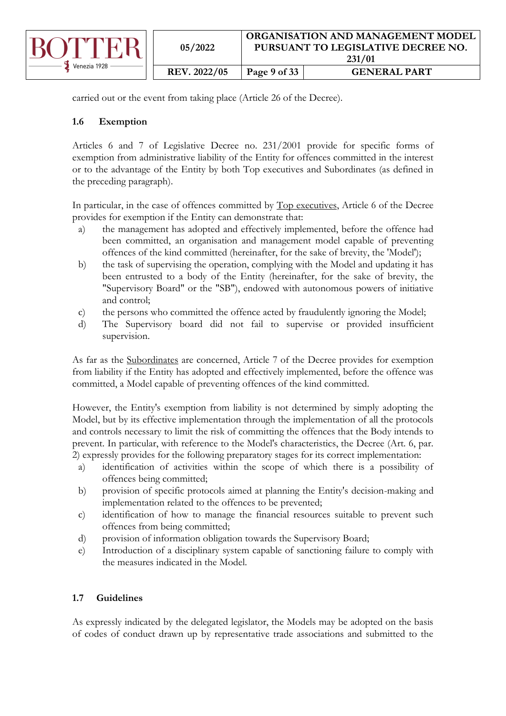

carried out or the event from taking place (Article 26 of the Decree).

# <span id="page-8-0"></span>**1.6 Exemption**

Articles 6 and 7 of Legislative Decree no. 231/2001 provide for specific forms of exemption from administrative liability of the Entity for offences committed in the interest or to the advantage of the Entity by both Top executives and Subordinates (as defined in the preceding paragraph).

In particular, in the case of offences committed by Top executives, Article 6 of the Decree provides for exemption if the Entity can demonstrate that:

- a) the management has adopted and effectively implemented, before the offence had been committed, an organisation and management model capable of preventing offences of the kind committed (hereinafter, for the sake of brevity, the 'Model');
- b) the task of supervising the operation, complying with the Model and updating it has been entrusted to a body of the Entity (hereinafter, for the sake of brevity, the "Supervisory Board" or the "SB"), endowed with autonomous powers of initiative and control;
- c) the persons who committed the offence acted by fraudulently ignoring the Model;
- d) The Supervisory board did not fail to supervise or provided insufficient supervision.

As far as the Subordinates are concerned, Article 7 of the Decree provides for exemption from liability if the Entity has adopted and effectively implemented, before the offence was committed, a Model capable of preventing offences of the kind committed.

However, the Entity's exemption from liability is not determined by simply adopting the Model, but by its effective implementation through the implementation of all the protocols and controls necessary to limit the risk of committing the offences that the Body intends to prevent. In particular, with reference to the Model's characteristics, the Decree (Art. 6, par. 2) expressly provides for the following preparatory stages for its correct implementation:

- a) identification of activities within the scope of which there is a possibility of offences being committed;
- b) provision of specific protocols aimed at planning the Entity's decision-making and implementation related to the offences to be prevented;
- c) identification of how to manage the financial resources suitable to prevent such offences from being committed;
- d) provision of information obligation towards the Supervisory Board;
- e) Introduction of a disciplinary system capable of sanctioning failure to comply with the measures indicated in the Model.

# <span id="page-8-1"></span>**1.7 Guidelines**

As expressly indicated by the delegated legislator, the Models may be adopted on the basis of codes of conduct drawn up by representative trade associations and submitted to the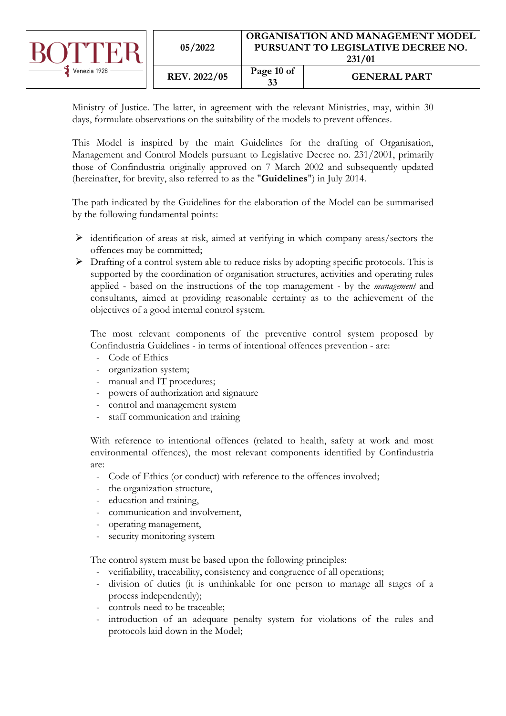|              | 05/2022      | ORGANISATION AND MANAGEMENT MODEL<br>PURSUANT TO LEGISLATIVE DECREE NO.<br>231/01 |                     |
|--------------|--------------|-----------------------------------------------------------------------------------|---------------------|
| Venezia 1928 | REV. 2022/05 | Page 10 of<br>33                                                                  | <b>GENERAL PART</b> |

Ministry of Justice. The latter, in agreement with the relevant Ministries, may, within 30 days, formulate observations on the suitability of the models to prevent offences.

This Model is inspired by the main Guidelines for the drafting of Organisation, Management and Control Models pursuant to Legislative Decree no. 231/2001, primarily those of Confindustria originally approved on 7 March 2002 and subsequently updated (hereinafter, for brevity, also referred to as the "**Guidelines**") in July 2014.

The path indicated by the Guidelines for the elaboration of the Model can be summarised by the following fundamental points:

- $\triangleright$  identification of areas at risk, aimed at verifying in which company areas/sectors the offences may be committed;
- $\triangleright$  Drafting of a control system able to reduce risks by adopting specific protocols. This is supported by the coordination of organisation structures, activities and operating rules applied - based on the instructions of the top management - by the *management* and consultants, aimed at providing reasonable certainty as to the achievement of the objectives of a good internal control system.

The most relevant components of the preventive control system proposed by Confindustria Guidelines - in terms of intentional offences prevention - are:

- Code of Ethics
- organization system;
- manual and IT procedures;
- powers of authorization and signature
- control and management system
- staff communication and training

With reference to intentional offences (related to health, safety at work and most environmental offences), the most relevant components identified by Confindustria are:

- Code of Ethics (or conduct) with reference to the offences involved;
- the organization structure,
- education and training,
- communication and involvement,
- operating management,
- security monitoring system

The control system must be based upon the following principles:

- verifiability, traceability, consistency and congruence of all operations;
- division of duties (it is unthinkable for one person to manage all stages of a process independently);
- controls need to be traceable;
- introduction of an adequate penalty system for violations of the rules and protocols laid down in the Model;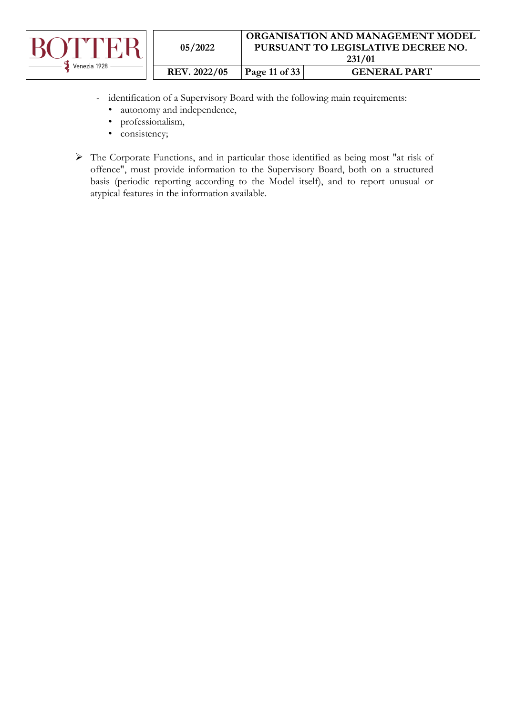

- identification of a Supervisory Board with the following main requirements:
	- autonomy and independence,
	- professionalism,
	- consistency;
- ➢ The Corporate Functions, and in particular those identified as being most "at risk of offence", must provide information to the Supervisory Board, both on a structured basis (periodic reporting according to the Model itself), and to report unusual or atypical features in the information available.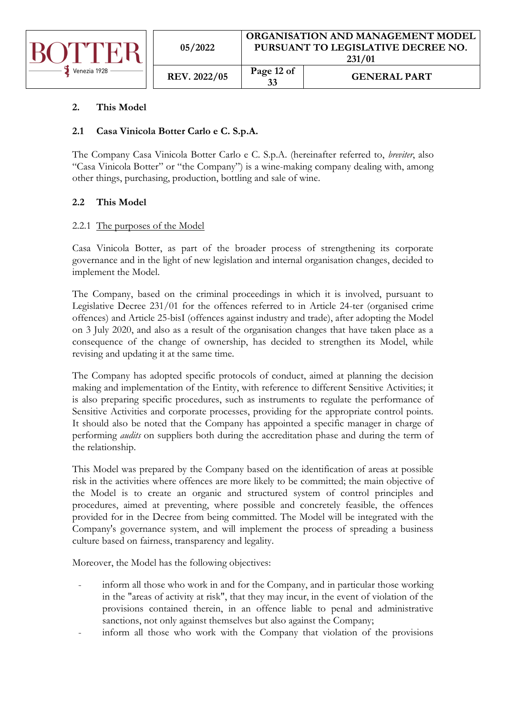

| 05/2022      | ORGANISATION AND MANAGEMENT MODEL<br>PURSUANT TO LEGISLATIVE DECREE NO.<br>231/01 |                     |  |  |
|--------------|-----------------------------------------------------------------------------------|---------------------|--|--|
| REV. 2022/05 | Page 12 of<br>33                                                                  | <b>GENERAL PART</b> |  |  |

# <span id="page-11-0"></span>**2. This Model**

# <span id="page-11-1"></span>**2.1 Casa Vinicola Botter Carlo e C. S.p.A.**

The Company Casa Vinicola Botter Carlo e C. S.p.A. (hereinafter referred to, *breviter*, also "Casa Vinicola Botter" or "the Company") is a wine-making company dealing with, among other things, purchasing, production, bottling and sale of wine.

# <span id="page-11-2"></span>**2.2 This Model**

# <span id="page-11-3"></span>2.2.1 The purposes of the Model

Casa Vinicola Botter, as part of the broader process of strengthening its corporate governance and in the light of new legislation and internal organisation changes, decided to implement the Model.

The Company, based on the criminal proceedings in which it is involved, pursuant to Legislative Decree 231/01 for the offences referred to in Article 24-ter (organised crime offences) and Article 25-bisI (offences against industry and trade), after adopting the Model on 3 July 2020, and also as a result of the organisation changes that have taken place as a consequence of the change of ownership, has decided to strengthen its Model, while revising and updating it at the same time.

The Company has adopted specific protocols of conduct, aimed at planning the decision making and implementation of the Entity, with reference to different Sensitive Activities; it is also preparing specific procedures, such as instruments to regulate the performance of Sensitive Activities and corporate processes, providing for the appropriate control points. It should also be noted that the Company has appointed a specific manager in charge of performing *audits* on suppliers both during the accreditation phase and during the term of the relationship.

This Model was prepared by the Company based on the identification of areas at possible risk in the activities where offences are more likely to be committed; the main objective of the Model is to create an organic and structured system of control principles and procedures, aimed at preventing, where possible and concretely feasible, the offences provided for in the Decree from being committed. The Model will be integrated with the Company's governance system, and will implement the process of spreading a business culture based on fairness, transparency and legality.

Moreover, the Model has the following objectives:

- inform all those who work in and for the Company, and in particular those working in the "areas of activity at risk", that they may incur, in the event of violation of the provisions contained therein, in an offence liable to penal and administrative sanctions, not only against themselves but also against the Company;
- inform all those who work with the Company that violation of the provisions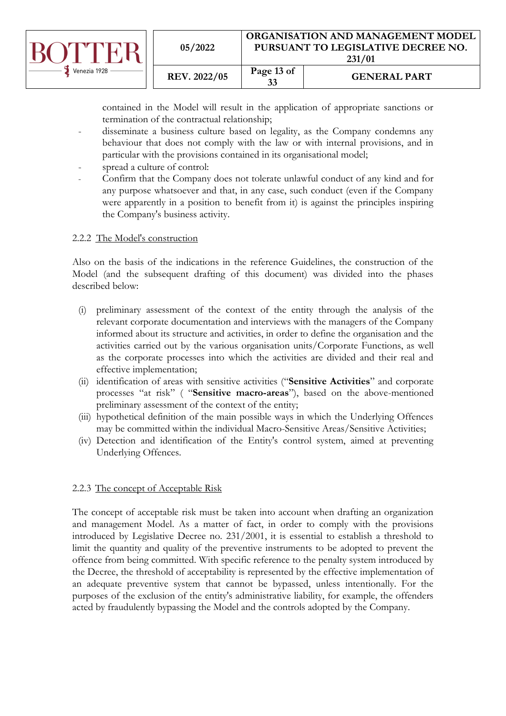

contained in the Model will result in the application of appropriate sanctions or termination of the contractual relationship;

- disseminate a business culture based on legality, as the Company condemns any behaviour that does not comply with the law or with internal provisions, and in particular with the provisions contained in its organisational model;
- spread a culture of control:
- Confirm that the Company does not tolerate unlawful conduct of any kind and for any purpose whatsoever and that, in any case, such conduct (even if the Company were apparently in a position to benefit from it) is against the principles inspiring the Company's business activity.

### <span id="page-12-0"></span>2.2.2 The Model's construction

Also on the basis of the indications in the reference Guidelines, the construction of the Model (and the subsequent drafting of this document) was divided into the phases described below:

- (i) preliminary assessment of the context of the entity through the analysis of the relevant corporate documentation and interviews with the managers of the Company informed about its structure and activities, in order to define the organisation and the activities carried out by the various organisation units/Corporate Functions, as well as the corporate processes into which the activities are divided and their real and effective implementation;
- (ii) identification of areas with sensitive activities ("**Sensitive Activities**" and corporate processes "at risk" ( "**Sensitive macro-areas**"), based on the above-mentioned preliminary assessment of the context of the entity;
- (iii) hypothetical definition of the main possible ways in which the Underlying Offences may be committed within the individual Macro-Sensitive Areas/Sensitive Activities;
- (iv) Detection and identification of the Entity's control system, aimed at preventing Underlying Offences.

### <span id="page-12-1"></span>2.2.3 The concept of Acceptable Risk

The concept of acceptable risk must be taken into account when drafting an organization and management Model. As a matter of fact, in order to comply with the provisions introduced by Legislative Decree no. 231/2001, it is essential to establish a threshold to limit the quantity and quality of the preventive instruments to be adopted to prevent the offence from being committed. With specific reference to the penalty system introduced by the Decree, the threshold of acceptability is represented by the effective implementation of an adequate preventive system that cannot be bypassed, unless intentionally. For the purposes of the exclusion of the entity's administrative liability, for example, the offenders acted by fraudulently bypassing the Model and the controls adopted by the Company.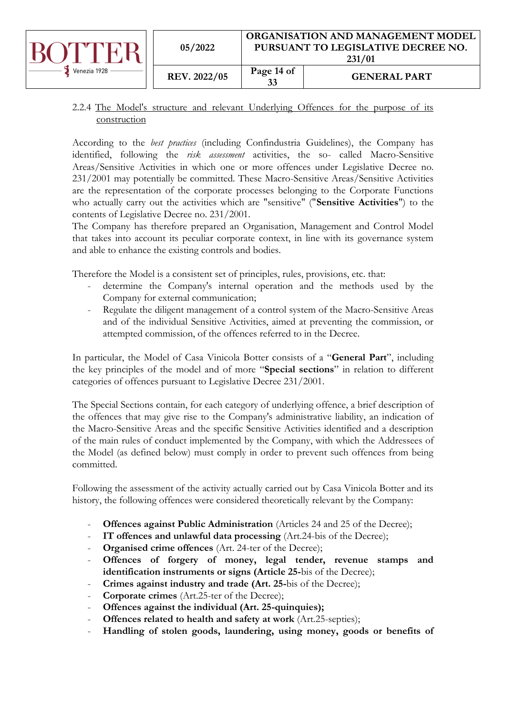|              | 05/2022             | ORGANISATION AND MANAGEMENT MODEL<br>PURSUANT TO LEGISLATIVE DECREE NO.<br>231/01 |                     |
|--------------|---------------------|-----------------------------------------------------------------------------------|---------------------|
| Venezia 1928 | <b>REV. 2022/05</b> | Page 14 of<br>33                                                                  | <b>GENERAL PART</b> |

# <span id="page-13-0"></span>2.2.4 The Model's structure and relevant Underlying Offences for the purpose of its construction

According to the *best practices* (including Confindustria Guidelines), the Company has identified, following the *risk assessment* activities, the so- called Macro-Sensitive Areas/Sensitive Activities in which one or more offences under Legislative Decree no. 231/2001 may potentially be committed. These Macro-Sensitive Areas/Sensitive Activities are the representation of the corporate processes belonging to the Corporate Functions who actually carry out the activities which are "sensitive" ("**Sensitive Activities**") to the contents of Legislative Decree no. 231/2001.

The Company has therefore prepared an Organisation, Management and Control Model that takes into account its peculiar corporate context, in line with its governance system and able to enhance the existing controls and bodies.

Therefore the Model is a consistent set of principles, rules, provisions, etc. that:

- determine the Company's internal operation and the methods used by the Company for external communication;
- Regulate the diligent management of a control system of the Macro-Sensitive Areas and of the individual Sensitive Activities, aimed at preventing the commission, or attempted commission, of the offences referred to in the Decree.

In particular, the Model of Casa Vinicola Botter consists of a "**General Part**", including the key principles of the model and of more "**Special sections**" in relation to different categories of offences pursuant to Legislative Decree 231/2001.

The Special Sections contain, for each category of underlying offence, a brief description of the offences that may give rise to the Company's administrative liability, an indication of the Macro-Sensitive Areas and the specific Sensitive Activities identified and a description of the main rules of conduct implemented by the Company, with which the Addressees of the Model (as defined below) must comply in order to prevent such offences from being committed.

Following the assessment of the activity actually carried out by Casa Vinicola Botter and its history, the following offences were considered theoretically relevant by the Company:

- **Offences against Public Administration** (Articles 24 and 25 of the Decree);
- **IT offences and unlawful data processing** (Art.24-bis of the Decree);
- **Organised crime offences** (Art. 24-ter of the Decree);
- Offences of forgery of money, legal tender, revenue stamps and **identification instruments or signs (Article 25-**bis of the Decree);
- **Crimes against industry and trade (Art. 25-**bis of the Decree);
- **Corporate crimes** (Art.25-ter of the Decree);
- Offences against the individual (Art. 25-quinquies);
- **Offences related to health and safety at work** (Art.25-septies);
- **Handling of stolen goods, laundering, using money, goods or benefits of**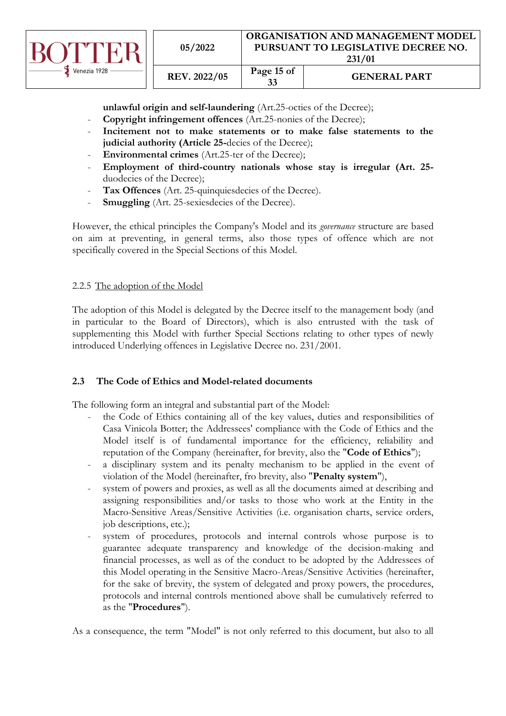

**unlawful origin and self-laundering** (Art.25-octies of the Decree);

- **Copyright infringement offences** (Art.25-nonies of the Decree);
- **Incitement not to make statements or to make false statements to the judicial authority (Article 25-**decies of the Decree);
- **Environmental crimes** (Art.25-ter of the Decree);
- **Employment of third-country nationals whose stay is irregular (Art. 25** duodecies of the Decree);
- Tax Offences (Art. 25-quinquiesdecies of the Decree).
- **Smuggling** (Art. 25-sexiesdecies of the Decree).

However, the ethical principles the Company's Model and its *governance* structure are based on aim at preventing, in general terms, also those types of offence which are not specifically covered in the Special Sections of this Model.

# <span id="page-14-0"></span>2.2.5 The adoption of the Model

The adoption of this Model is delegated by the Decree itself to the management body (and in particular to the Board of Directors), which is also entrusted with the task of supplementing this Model with further Special Sections relating to other types of newly introduced Underlying offences in Legislative Decree no. 231/2001.

### <span id="page-14-1"></span>**2.3 The Code of Ethics and Model-related documents**

The following form an integral and substantial part of the Model:

- the Code of Ethics containing all of the key values, duties and responsibilities of Casa Vinicola Botter; the Addressees' compliance with the Code of Ethics and the Model itself is of fundamental importance for the efficiency, reliability and reputation of the Company (hereinafter, for brevity, also the "**Code of Ethics**");
- a disciplinary system and its penalty mechanism to be applied in the event of violation of the Model (hereinafter, fro brevity, also "**Penalty system**"),
- system of powers and proxies, as well as all the documents aimed at describing and assigning responsibilities and/or tasks to those who work at the Entity in the Macro-Sensitive Areas/Sensitive Activities (i.e. organisation charts, service orders, job descriptions, etc.);
- system of procedures, protocols and internal controls whose purpose is to guarantee adequate transparency and knowledge of the decision-making and financial processes, as well as of the conduct to be adopted by the Addressees of this Model operating in the Sensitive Macro-Areas/Sensitive Activities (hereinafter, for the sake of brevity, the system of delegated and proxy powers, the procedures, protocols and internal controls mentioned above shall be cumulatively referred to as the "**Procedures**").

As a consequence, the term "Model" is not only referred to this document, but also to all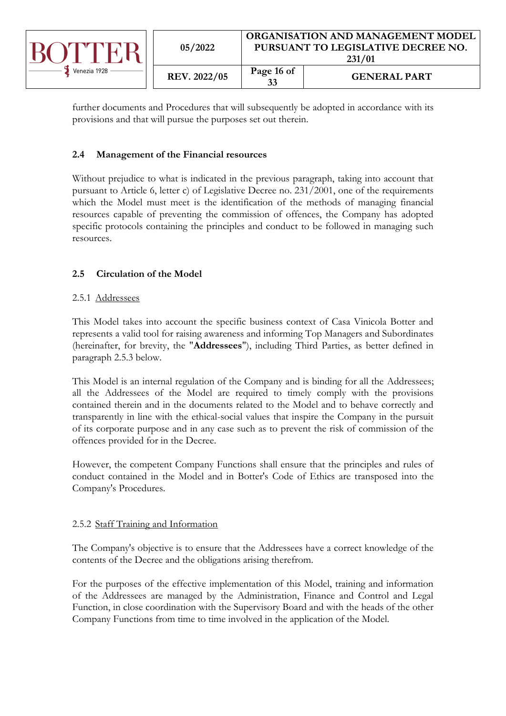

further documents and Procedures that will subsequently be adopted in accordance with its provisions and that will pursue the purposes set out therein.

# <span id="page-15-0"></span>**2.4 Management of the Financial resources**

Without prejudice to what is indicated in the previous paragraph, taking into account that pursuant to Article 6, letter c) of Legislative Decree no. 231/2001, one of the requirements which the Model must meet is the identification of the methods of managing financial resources capable of preventing the commission of offences, the Company has adopted specific protocols containing the principles and conduct to be followed in managing such resources.

# <span id="page-15-1"></span>**2.5 Circulation of the Model**

# <span id="page-15-2"></span>2.5.1 Addressees

This Model takes into account the specific business context of Casa Vinicola Botter and represents a valid tool for raising awareness and informing Top Managers and Subordinates (hereinafter, for brevity, the "**Addressees**"), including Third Parties, as better defined in paragraph 2.5.3 below.

This Model is an internal regulation of the Company and is binding for all the Addressees; all the Addressees of the Model are required to timely comply with the provisions contained therein and in the documents related to the Model and to behave correctly and transparently in line with the ethical-social values that inspire the Company in the pursuit of its corporate purpose and in any case such as to prevent the risk of commission of the offences provided for in the Decree.

However, the competent Company Functions shall ensure that the principles and rules of conduct contained in the Model and in Botter's Code of Ethics are transposed into the Company's Procedures.

### <span id="page-15-3"></span>2.5.2 Staff Training and Information

The Company's objective is to ensure that the Addressees have a correct knowledge of the contents of the Decree and the obligations arising therefrom.

For the purposes of the effective implementation of this Model, training and information of the Addressees are managed by the Administration, Finance and Control and Legal Function, in close coordination with the Supervisory Board and with the heads of the other Company Functions from time to time involved in the application of the Model.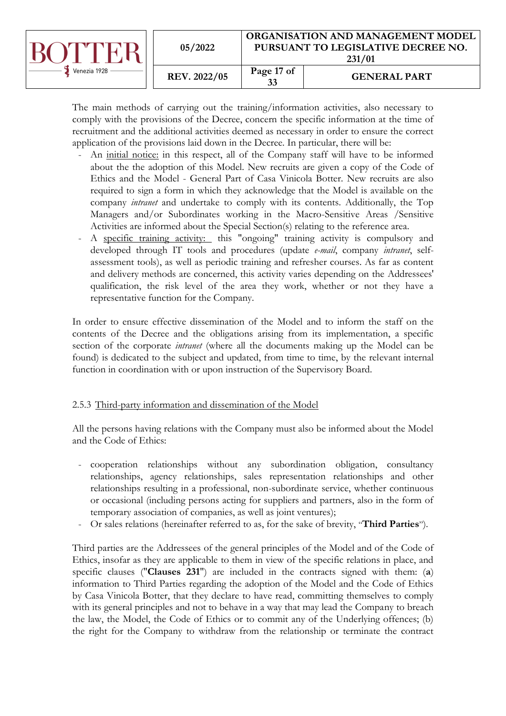|              | 05/2022      | <b>ORGANISATION AND MANAGEMENT MODEL</b><br>PURSUANT TO LEGISLATIVE DECREE NO.<br>231/01 |                     |
|--------------|--------------|------------------------------------------------------------------------------------------|---------------------|
| Venezia 1928 | REV. 2022/05 | Page 17 of<br>33                                                                         | <b>GENERAL PART</b> |

The main methods of carrying out the training/information activities, also necessary to comply with the provisions of the Decree, concern the specific information at the time of recruitment and the additional activities deemed as necessary in order to ensure the correct application of the provisions laid down in the Decree. In particular, there will be:

- An initial notice: in this respect, all of the Company staff will have to be informed about the the adoption of this Model. New recruits are given a copy of the Code of Ethics and the Model - General Part of Casa Vinicola Botter. New recruits are also required to sign a form in which they acknowledge that the Model is available on the company *intranet* and undertake to comply with its contents. Additionally, the Top Managers and/or Subordinates working in the Macro-Sensitive Areas /Sensitive Activities are informed about the Special Section(s) relating to the reference area.
- A specific training activity: this "ongoing" training activity is compulsory and developed through IT tools and procedures (update *e-mail*, company *intranet*, selfassessment tools), as well as periodic training and refresher courses. As far as content and delivery methods are concerned, this activity varies depending on the Addressees' qualification, the risk level of the area they work, whether or not they have a representative function for the Company.

In order to ensure effective dissemination of the Model and to inform the staff on the contents of the Decree and the obligations arising from its implementation, a specific section of the corporate *intranet* (where all the documents making up the Model can be found) is dedicated to the subject and updated, from time to time, by the relevant internal function in coordination with or upon instruction of the Supervisory Board.

# <span id="page-16-0"></span>2.5.3 Third-party information and dissemination of the Model

All the persons having relations with the Company must also be informed about the Model and the Code of Ethics:

- cooperation relationships without any subordination obligation, consultancy relationships, agency relationships, sales representation relationships and other relationships resulting in a professional, non-subordinate service, whether continuous or occasional (including persons acting for suppliers and partners, also in the form of temporary association of companies, as well as joint ventures);
- Or sales relations (hereinafter referred to as, for the sake of brevity, "**Third Parties**").

Third parties are the Addressees of the general principles of the Model and of the Code of Ethics, insofar as they are applicable to them in view of the specific relations in place, and specific clauses ("**Clauses 231**") are included in the contracts signed with them: (**a**) information to Third Parties regarding the adoption of the Model and the Code of Ethics by Casa Vinicola Botter, that they declare to have read, committing themselves to comply with its general principles and not to behave in a way that may lead the Company to breach the law, the Model, the Code of Ethics or to commit any of the Underlying offences; (b) the right for the Company to withdraw from the relationship or terminate the contract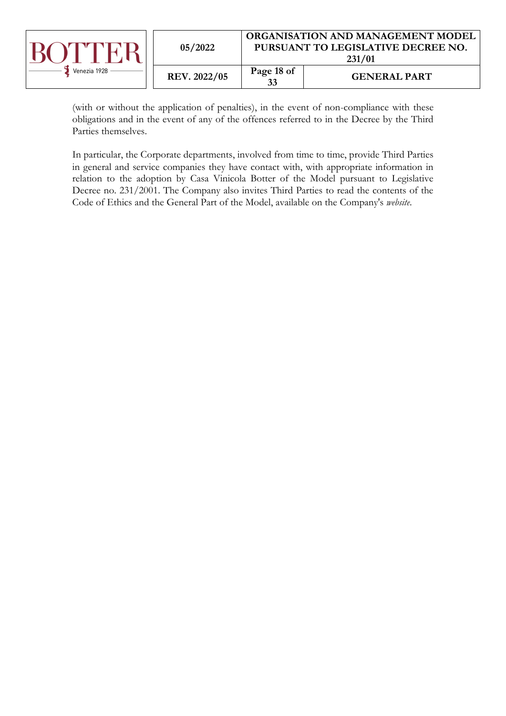

(with or without the application of penalties), in the event of non-compliance with these obligations and in the event of any of the offences referred to in the Decree by the Third Parties themselves.

In particular, the Corporate departments, involved from time to time, provide Third Parties in general and service companies they have contact with, with appropriate information in relation to the adoption by Casa Vinicola Botter of the Model pursuant to Legislative Decree no. 231/2001. The Company also invites Third Parties to read the contents of the Code of Ethics and the General Part of the Model, available on the Company's *website*.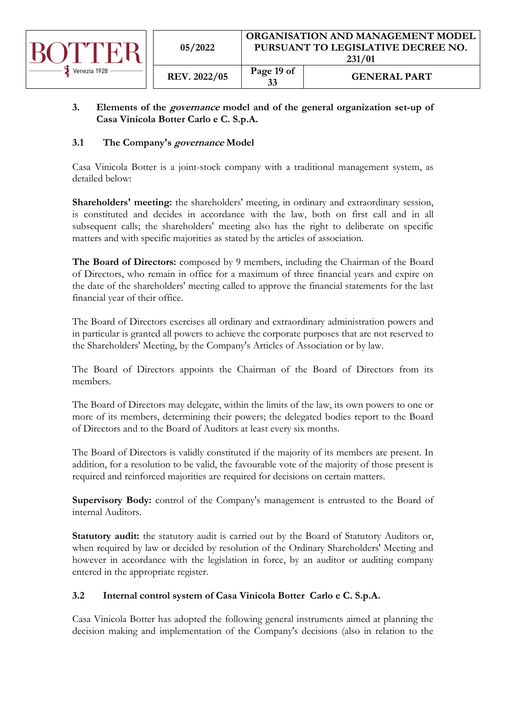

# <span id="page-18-0"></span>**3. Elements of the governance model and of the general organization set-up of Casa Vinicola Botter Carlo e C. S.p.A.**

# <span id="page-18-1"></span>**3.1 The Company's governance Model**

Casa Vinicola Botter is a joint-stock company with a traditional management system, as detailed below:

Shareholders' meeting: the shareholders' meeting, in ordinary and extraordinary session, is constituted and decides in accordance with the law, both on first call and in all subsequent calls; the shareholders' meeting also has the right to deliberate on specific matters and with specific majorities as stated by the articles of association.

**The Board of Directors:** composed by 9 members, including the Chairman of the Board of Directors, who remain in office for a maximum of three financial years and expire on the date of the shareholders' meeting called to approve the financial statements for the last financial year of their office.

The Board of Directors exercises all ordinary and extraordinary administration powers and in particular is granted all powers to achieve the corporate purposes that are not reserved to the Shareholders' Meeting, by the Company's Articles of Association or by law.

The Board of Directors appoints the Chairman of the Board of Directors from its members.

The Board of Directors may delegate, within the limits of the law, its own powers to one or more of its members, determining their powers; the delegated bodies report to the Board of Directors and to the Board of Auditors at least every six months.

The Board of Directors is validly constituted if the majority of its members are present. In addition, for a resolution to be valid, the favourable vote of the majority of those present is required and reinforced majorities are required for decisions on certain matters.

**Supervisory Body:** control of the Company's management is entrusted to the Board of internal Auditors.

Statutory audit: the statutory audit is carried out by the Board of Statutory Auditors or, when required by law or decided by resolution of the Ordinary Shareholders' Meeting and however in accordance with the legislation in force, by an auditor or auditing company entered in the appropriate register.

# <span id="page-18-2"></span>**3.2 Internal control system of Casa Vinicola Botter Carlo e C. S.p.A.**

Casa Vinicola Botter has adopted the following general instruments aimed at planning the decision making and implementation of the Company's decisions (also in relation to the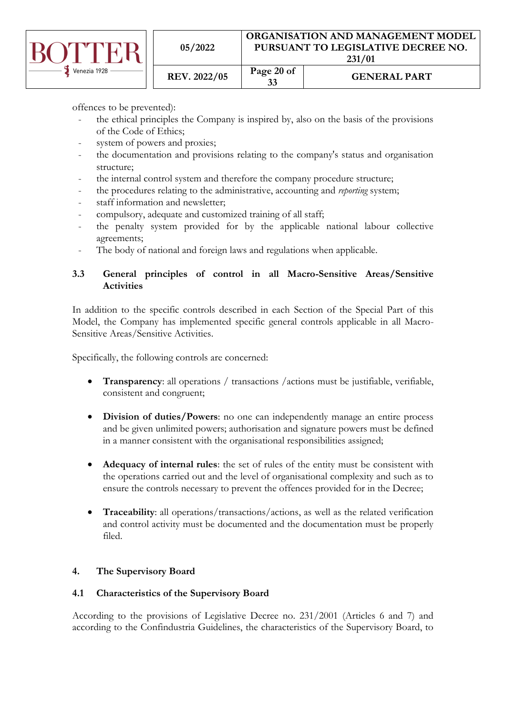

|                     |            | $-0.104$    |
|---------------------|------------|-------------|
| <b>REV. 2022/05</b> | Page 20 of | <b>GENE</b> |

**<sup>33</sup> GENERAL PART**

offences to be prevented):

- the ethical principles the Company is inspired by, also on the basis of the provisions of the Code of Ethics;
- system of powers and proxies;
- the documentation and provisions relating to the company's status and organisation structure;
- the internal control system and therefore the company procedure structure;
- the procedures relating to the administrative, accounting and *reporting* system;
- staff information and newsletter;
- compulsory, adequate and customized training of all staff;

**05/2022**

- the penalty system provided for by the applicable national labour collective agreements;
- The body of national and foreign laws and regulations when applicable.

# <span id="page-19-0"></span>**3.3 General principles of control in all Macro-Sensitive Areas/Sensitive Activities**

In addition to the specific controls described in each Section of the Special Part of this Model, the Company has implemented specific general controls applicable in all Macro-Sensitive Areas/Sensitive Activities.

Specifically, the following controls are concerned:

- **Transparency**: all operations / transactions /actions must be justifiable, verifiable, consistent and congruent;
- **Division of duties/Powers**: no one can independently manage an entire process and be given unlimited powers; authorisation and signature powers must be defined in a manner consistent with the organisational responsibilities assigned;
- **Adequacy of internal rules**: the set of rules of the entity must be consistent with the operations carried out and the level of organisational complexity and such as to ensure the controls necessary to prevent the offences provided for in the Decree;
- **Traceability**: all operations/transactions/actions, as well as the related verification and control activity must be documented and the documentation must be properly filed.

# <span id="page-19-1"></span>**4. The Supervisory Board**

# <span id="page-19-2"></span>**4.1 Characteristics of the Supervisory Board**

According to the provisions of Legislative Decree no. 231/2001 (Articles 6 and 7) and according to the Confindustria Guidelines, the characteristics of the Supervisory Board, to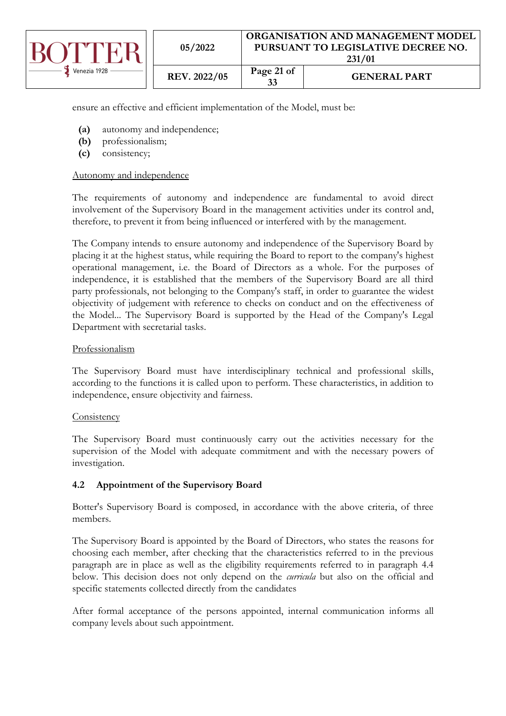

ensure an effective and efficient implementation of the Model, must be:

- **(a)** autonomy and independence;
- **(b)** professionalism;
- **(c)** consistency;

### Autonomy and independence

The requirements of autonomy and independence are fundamental to avoid direct involvement of the Supervisory Board in the management activities under its control and, therefore, to prevent it from being influenced or interfered with by the management.

The Company intends to ensure autonomy and independence of the Supervisory Board by placing it at the highest status, while requiring the Board to report to the company's highest operational management, i.e. the Board of Directors as a whole. For the purposes of independence, it is established that the members of the Supervisory Board are all third party professionals, not belonging to the Company's staff, in order to guarantee the widest objectivity of judgement with reference to checks on conduct and on the effectiveness of the Model... The Supervisory Board is supported by the Head of the Company's Legal Department with secretarial tasks.

#### Professionalism

The Supervisory Board must have interdisciplinary technical and professional skills, according to the functions it is called upon to perform. These characteristics, in addition to independence, ensure objectivity and fairness.

### **Consistency**

The Supervisory Board must continuously carry out the activities necessary for the supervision of the Model with adequate commitment and with the necessary powers of investigation.

### <span id="page-20-0"></span>**4.2 Appointment of the Supervisory Board**

Botter's Supervisory Board is composed, in accordance with the above criteria, of three members.

The Supervisory Board is appointed by the Board of Directors, who states the reasons for choosing each member, after checking that the characteristics referred to in the previous paragraph are in place as well as the eligibility requirements referred to in paragraph 4.4 below. This decision does not only depend on the *curricula* but also on the official and specific statements collected directly from the candidates

After formal acceptance of the persons appointed, internal communication informs all company levels about such appointment.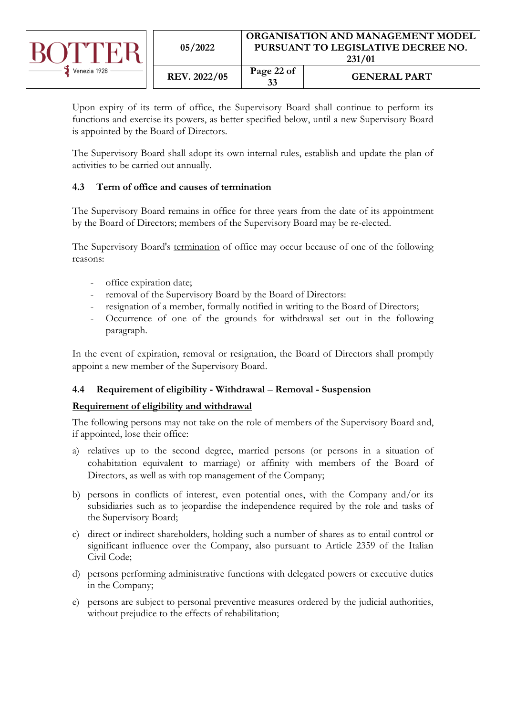

| 05/2022      |                  | ORGANISATION AND MANAGEMENT MODEL<br>PURSUANT TO LEGISLATIVE DECREE NO.<br>231/01 |  |  |
|--------------|------------------|-----------------------------------------------------------------------------------|--|--|
| REV. 2022/05 | Page 22 of<br>33 | <b>GENERAL PART</b>                                                               |  |  |

Upon expiry of its term of office, the Supervisory Board shall continue to perform its functions and exercise its powers, as better specified below, until a new Supervisory Board is appointed by the Board of Directors.

The Supervisory Board shall adopt its own internal rules, establish and update the plan of activities to be carried out annually.

# <span id="page-21-0"></span>**4.3 Term of office and causes of termination**

The Supervisory Board remains in office for three years from the date of its appointment by the Board of Directors; members of the Supervisory Board may be re-elected.

The Supervisory Board's termination of office may occur because of one of the following reasons:

- office expiration date;
- removal of the Supervisory Board by the Board of Directors:
- resignation of a member, formally notified in writing to the Board of Directors;
- Occurrence of one of the grounds for withdrawal set out in the following paragraph.

In the event of expiration, removal or resignation, the Board of Directors shall promptly appoint a new member of the Supervisory Board.

# <span id="page-21-1"></span>**4.4 Requirement of eligibility - Withdrawal** – **Removal - Suspension**

### **Requirement of eligibility and withdrawal**

The following persons may not take on the role of members of the Supervisory Board and, if appointed, lose their office:

- a) relatives up to the second degree, married persons (or persons in a situation of cohabitation equivalent to marriage) or affinity with members of the Board of Directors, as well as with top management of the Company;
- b) persons in conflicts of interest, even potential ones, with the Company and/or its subsidiaries such as to jeopardise the independence required by the role and tasks of the Supervisory Board;
- c) direct or indirect shareholders, holding such a number of shares as to entail control or significant influence over the Company, also pursuant to Article 2359 of the Italian Civil Code;
- d) persons performing administrative functions with delegated powers or executive duties in the Company;
- e) persons are subject to personal preventive measures ordered by the judicial authorities, without prejudice to the effects of rehabilitation;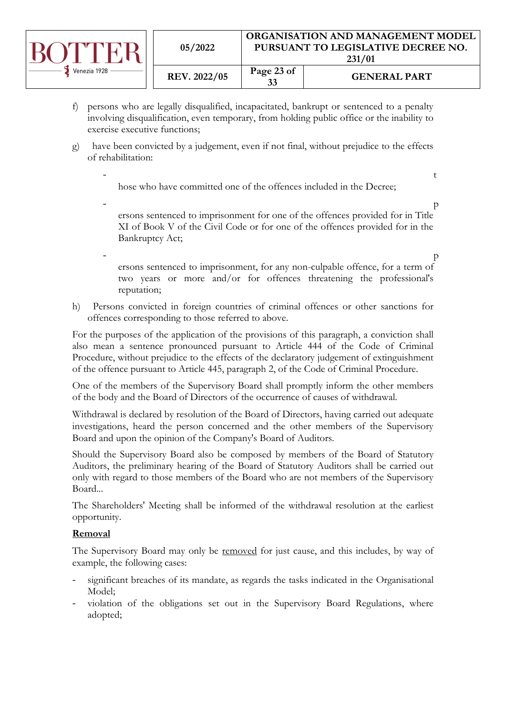

- f) persons who are legally disqualified, incapacitated, bankrupt or sentenced to a penalty involving disqualification, even temporary, from holding public office or the inability to exercise executive functions;
- g) have been convicted by a judgement, even if not final, without prejudice to the effects of rehabilitation:

 $\overline{t}$ hose who have committed one of the offences included in the Decree;

- particularly provided a property of  $p$ ersons sentenced to imprisonment for one of the offences provided for in Title XI of Book V of the Civil Code or for one of the offences provided for in the Bankruptcy Act;

- particularly provided a property of  $p$ ersons sentenced to imprisonment, for any non-culpable offence, for a term of two years or more and/or for offences threatening the professional's reputation;
- h) Persons convicted in foreign countries of criminal offences or other sanctions for offences corresponding to those referred to above.

For the purposes of the application of the provisions of this paragraph, a conviction shall also mean a sentence pronounced pursuant to Article 444 of the Code of Criminal Procedure, without prejudice to the effects of the declaratory judgement of extinguishment of the offence pursuant to Article 445, paragraph 2, of the Code of Criminal Procedure.

One of the members of the Supervisory Board shall promptly inform the other members of the body and the Board of Directors of the occurrence of causes of withdrawal.

Withdrawal is declared by resolution of the Board of Directors, having carried out adequate investigations, heard the person concerned and the other members of the Supervisory Board and upon the opinion of the Company's Board of Auditors.

Should the Supervisory Board also be composed by members of the Board of Statutory Auditors, the preliminary hearing of the Board of Statutory Auditors shall be carried out only with regard to those members of the Board who are not members of the Supervisory Board...

The Shareholders' Meeting shall be informed of the withdrawal resolution at the earliest opportunity.

# **Removal**

The Supervisory Board may only be removed for just cause, and this includes, by way of example, the following cases:

- significant breaches of its mandate, as regards the tasks indicated in the Organisational Model;
- violation of the obligations set out in the Supervisory Board Regulations, where adopted;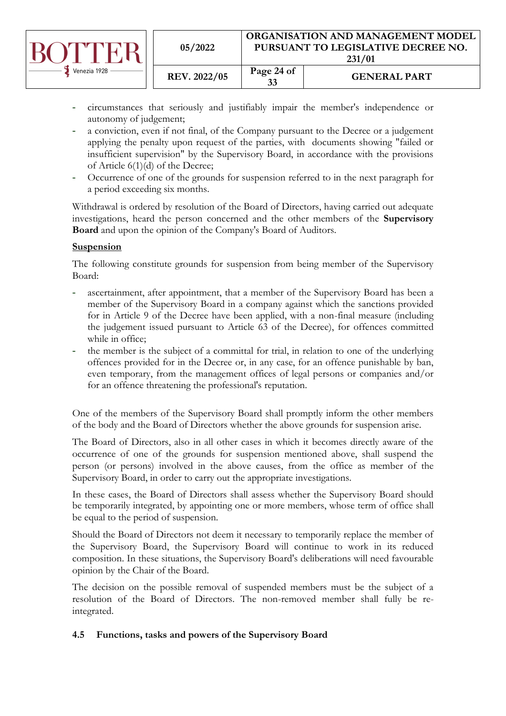|              | 05/2022             | ORGANISATION AND MANAGEMENT MODEL<br>PURSUANT TO LEGISLATIVE DECREE NO.<br>231/01 |                     |
|--------------|---------------------|-----------------------------------------------------------------------------------|---------------------|
| Venezia 1928 | <b>REV. 2022/05</b> | Page 24 of<br>33                                                                  | <b>GENERAL PART</b> |

- circumstances that seriously and justifiably impair the member's independence or autonomy of judgement;
- a conviction, even if not final, of the Company pursuant to the Decree or a judgement applying the penalty upon request of the parties, with documents showing "failed or insufficient supervision" by the Supervisory Board, in accordance with the provisions of Article 6(1)(d) of the Decree;
- Occurrence of one of the grounds for suspension referred to in the next paragraph for a period exceeding six months.

Withdrawal is ordered by resolution of the Board of Directors, having carried out adequate investigations, heard the person concerned and the other members of the **Supervisory Board** and upon the opinion of the Company's Board of Auditors.

# **Suspension**

The following constitute grounds for suspension from being member of the Supervisory Board:

- ascertainment, after appointment, that a member of the Supervisory Board has been a member of the Supervisory Board in a company against which the sanctions provided for in Article 9 of the Decree have been applied, with a non-final measure (including the judgement issued pursuant to Article 63 of the Decree), for offences committed while in office;
- the member is the subject of a committal for trial, in relation to one of the underlying offences provided for in the Decree or, in any case, for an offence punishable by ban, even temporary, from the management offices of legal persons or companies and/or for an offence threatening the professional's reputation.

One of the members of the Supervisory Board shall promptly inform the other members of the body and the Board of Directors whether the above grounds for suspension arise.

The Board of Directors, also in all other cases in which it becomes directly aware of the occurrence of one of the grounds for suspension mentioned above, shall suspend the person (or persons) involved in the above causes, from the office as member of the Supervisory Board, in order to carry out the appropriate investigations.

In these cases, the Board of Directors shall assess whether the Supervisory Board should be temporarily integrated, by appointing one or more members, whose term of office shall be equal to the period of suspension.

Should the Board of Directors not deem it necessary to temporarily replace the member of the Supervisory Board, the Supervisory Board will continue to work in its reduced composition. In these situations, the Supervisory Board's deliberations will need favourable opinion by the Chair of the Board.

The decision on the possible removal of suspended members must be the subject of a resolution of the Board of Directors. The non-removed member shall fully be reintegrated.

# <span id="page-23-0"></span>**4.5 Functions, tasks and powers of the Supervisory Board**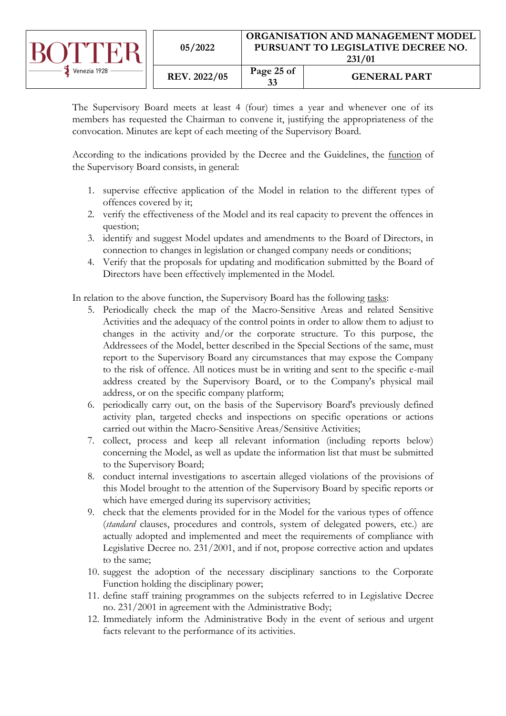|              | 05/2022      | <b>ORGANISATION AND MANAGEMENT MODEL</b><br>PURSUANT TO LEGISLATIVE DECREE NO.<br>231/01 |                     |
|--------------|--------------|------------------------------------------------------------------------------------------|---------------------|
| Venezia 1928 | REV. 2022/05 | Page 25 of<br>33                                                                         | <b>GENERAL PART</b> |

The Supervisory Board meets at least 4 (four) times a year and whenever one of its members has requested the Chairman to convene it, justifying the appropriateness of the convocation. Minutes are kept of each meeting of the Supervisory Board.

According to the indications provided by the Decree and the Guidelines, the function of the Supervisory Board consists, in general:

- 1. supervise effective application of the Model in relation to the different types of offences covered by it;
- 2. verify the effectiveness of the Model and its real capacity to prevent the offences in question;
- 3. identify and suggest Model updates and amendments to the Board of Directors, in connection to changes in legislation or changed company needs or conditions;
- 4. Verify that the proposals for updating and modification submitted by the Board of Directors have been effectively implemented in the Model.

In relation to the above function, the Supervisory Board has the following tasks:

- 5. Periodically check the map of the Macro-Sensitive Areas and related Sensitive Activities and the adequacy of the control points in order to allow them to adjust to changes in the activity and/or the corporate structure. To this purpose, the Addressees of the Model, better described in the Special Sections of the same, must report to the Supervisory Board any circumstances that may expose the Company to the risk of offence. All notices must be in writing and sent to the specific e-mail address created by the Supervisory Board, or to the Company's physical mail address, or on the specific company platform;
- 6. periodically carry out, on the basis of the Supervisory Board's previously defined activity plan, targeted checks and inspections on specific operations or actions carried out within the Macro-Sensitive Areas/Sensitive Activities;
- 7. collect, process and keep all relevant information (including reports below) concerning the Model, as well as update the information list that must be submitted to the Supervisory Board;
- 8. conduct internal investigations to ascertain alleged violations of the provisions of this Model brought to the attention of the Supervisory Board by specific reports or which have emerged during its supervisory activities;
- 9. check that the elements provided for in the Model for the various types of offence (*standard* clauses, procedures and controls, system of delegated powers, etc.) are actually adopted and implemented and meet the requirements of compliance with Legislative Decree no. 231/2001, and if not, propose corrective action and updates to the same;
- 10. suggest the adoption of the necessary disciplinary sanctions to the Corporate Function holding the disciplinary power;
- 11. define staff training programmes on the subjects referred to in Legislative Decree no. 231/2001 in agreement with the Administrative Body;
- 12. Immediately inform the Administrative Body in the event of serious and urgent facts relevant to the performance of its activities.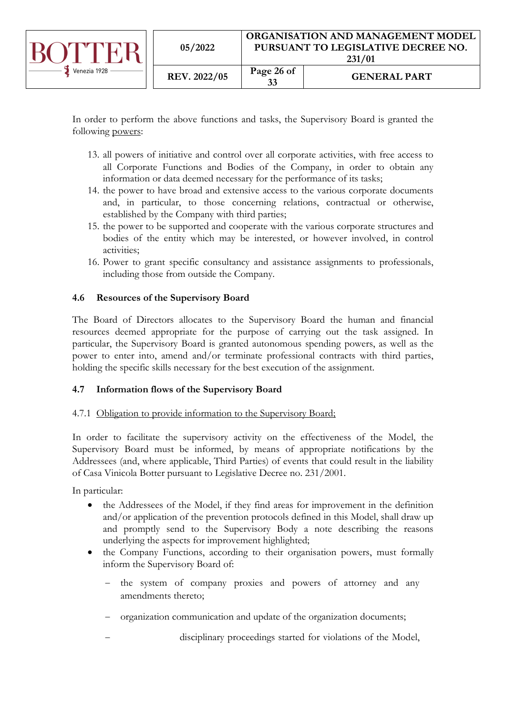

In order to perform the above functions and tasks, the Supervisory Board is granted the following powers:

- 13. all powers of initiative and control over all corporate activities, with free access to all Corporate Functions and Bodies of the Company, in order to obtain any information or data deemed necessary for the performance of its tasks;
- 14. the power to have broad and extensive access to the various corporate documents and, in particular, to those concerning relations, contractual or otherwise, established by the Company with third parties;
- 15. the power to be supported and cooperate with the various corporate structures and bodies of the entity which may be interested, or however involved, in control activities;
- 16. Power to grant specific consultancy and assistance assignments to professionals, including those from outside the Company.

# <span id="page-25-0"></span>**4.6 Resources of the Supervisory Board**

The Board of Directors allocates to the Supervisory Board the human and financial resources deemed appropriate for the purpose of carrying out the task assigned. In particular, the Supervisory Board is granted autonomous spending powers, as well as the power to enter into, amend and/or terminate professional contracts with third parties, holding the specific skills necessary for the best execution of the assignment.

# <span id="page-25-1"></span>**4.7 Information flows of the Supervisory Board**

# <span id="page-25-2"></span>4.7.1 Obligation to provide information to the Supervisory Board;

In order to facilitate the supervisory activity on the effectiveness of the Model, the Supervisory Board must be informed, by means of appropriate notifications by the Addressees (and, where applicable, Third Parties) of events that could result in the liability of Casa Vinicola Botter pursuant to Legislative Decree no. 231/2001.

In particular:

- the Addressees of the Model, if they find areas for improvement in the definition and/or application of the prevention protocols defined in this Model, shall draw up and promptly send to the Supervisory Body a note describing the reasons underlying the aspects for improvement highlighted;
- the Company Functions, according to their organisation powers, must formally inform the Supervisory Board of:
	- the system of company proxies and powers of attorney and any amendments thereto;
	- − organization communication and update of the organization documents;
	- disciplinary proceedings started for violations of the Model,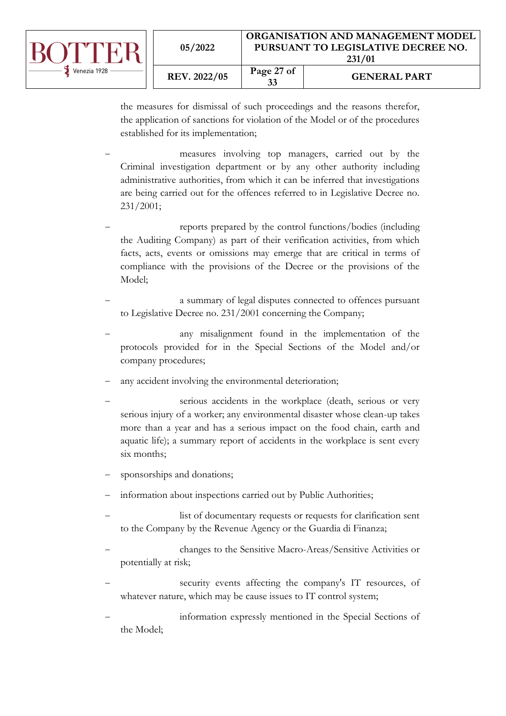| Venezia 1928 | 05/2022             | <b>ORGANISATION AND MANAGEMENT MODEL.</b><br>PURSUANT TO LEGISLATIVE DECREE NO.<br>231/01 |                     |
|--------------|---------------------|-------------------------------------------------------------------------------------------|---------------------|
|              | <b>REV. 2022/05</b> | Page 27 of<br>33                                                                          | <b>GENERAL PART</b> |

the measures for dismissal of such proceedings and the reasons therefor, the application of sanctions for violation of the Model or of the procedures established for its implementation;

- measures involving top managers, carried out by the Criminal investigation department or by any other authority including administrative authorities, from which it can be inferred that investigations are being carried out for the offences referred to in Legislative Decree no. 231/2001;
- reports prepared by the control functions/bodies (including the Auditing Company) as part of their verification activities, from which facts, acts, events or omissions may emerge that are critical in terms of compliance with the provisions of the Decree or the provisions of the Model;
- a summary of legal disputes connected to offences pursuant to Legislative Decree no. 231/2001 concerning the Company;
- any misalignment found in the implementation of the protocols provided for in the Special Sections of the Model and/or company procedures;
- any accident involving the environmental deterioration;
- serious accidents in the workplace (death, serious or very serious injury of a worker; any environmental disaster whose clean-up takes more than a year and has a serious impact on the food chain, earth and aquatic life); a summary report of accidents in the workplace is sent every six months;
- sponsorships and donations;
- information about inspections carried out by Public Authorities;
- list of documentary requests or requests for clarification sent to the Company by the Revenue Agency or the Guardia di Finanza;
- − changes to the Sensitive Macro-Areas/Sensitive Activities or potentially at risk;
- security events affecting the company's IT resources, of whatever nature, which may be cause issues to IT control system;
- information expressly mentioned in the Special Sections of the Model;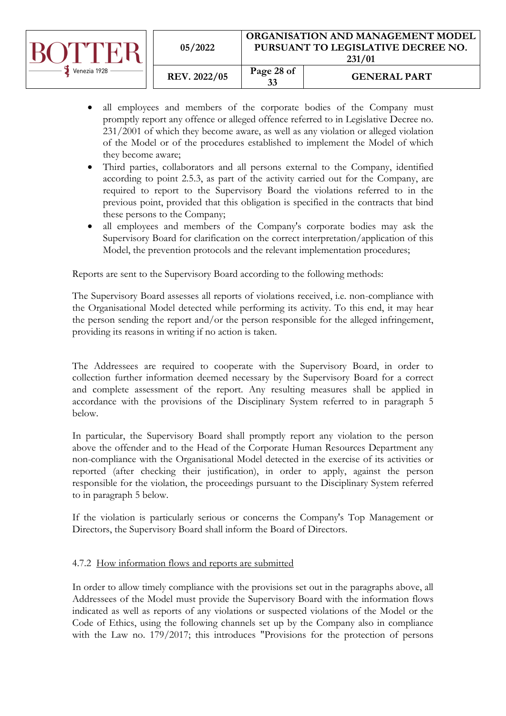|              | 05/2022             | ORGANISATION AND MANAGEMENT MODEL<br>PURSUANT TO LEGISLATIVE DECREE NO.<br>231/01 |                     |
|--------------|---------------------|-----------------------------------------------------------------------------------|---------------------|
| Venezia 1928 | <b>REV. 2022/05</b> | Page 28 of<br>33                                                                  | <b>GENERAL PART</b> |

- all employees and members of the corporate bodies of the Company must promptly report any offence or alleged offence referred to in Legislative Decree no. 231/2001 of which they become aware, as well as any violation or alleged violation of the Model or of the procedures established to implement the Model of which they become aware;
- Third parties, collaborators and all persons external to the Company, identified according to point 2.5.3, as part of the activity carried out for the Company, are required to report to the Supervisory Board the violations referred to in the previous point, provided that this obligation is specified in the contracts that bind these persons to the Company;
- all employees and members of the Company's corporate bodies may ask the Supervisory Board for clarification on the correct interpretation/application of this Model, the prevention protocols and the relevant implementation procedures;

Reports are sent to the Supervisory Board according to the following methods:

The Supervisory Board assesses all reports of violations received, i.e. non-compliance with the Organisational Model detected while performing its activity. To this end, it may hear the person sending the report and/or the person responsible for the alleged infringement, providing its reasons in writing if no action is taken.

The Addressees are required to cooperate with the Supervisory Board, in order to collection further information deemed necessary by the Supervisory Board for a correct and complete assessment of the report. Any resulting measures shall be applied in accordance with the provisions of the Disciplinary System referred to in paragraph 5 below.

In particular, the Supervisory Board shall promptly report any violation to the person above the offender and to the Head of the Corporate Human Resources Department any non-compliance with the Organisational Model detected in the exercise of its activities or reported (after checking their justification), in order to apply, against the person responsible for the violation, the proceedings pursuant to the Disciplinary System referred to in paragraph 5 below.

If the violation is particularly serious or concerns the Company's Top Management or Directors, the Supervisory Board shall inform the Board of Directors.

### <span id="page-27-0"></span>4.7.2 How information flows and reports are submitted

In order to allow timely compliance with the provisions set out in the paragraphs above, all Addressees of the Model must provide the Supervisory Board with the information flows indicated as well as reports of any violations or suspected violations of the Model or the Code of Ethics, using the following channels set up by the Company also in compliance with the Law no. 179/2017; this introduces "Provisions for the protection of persons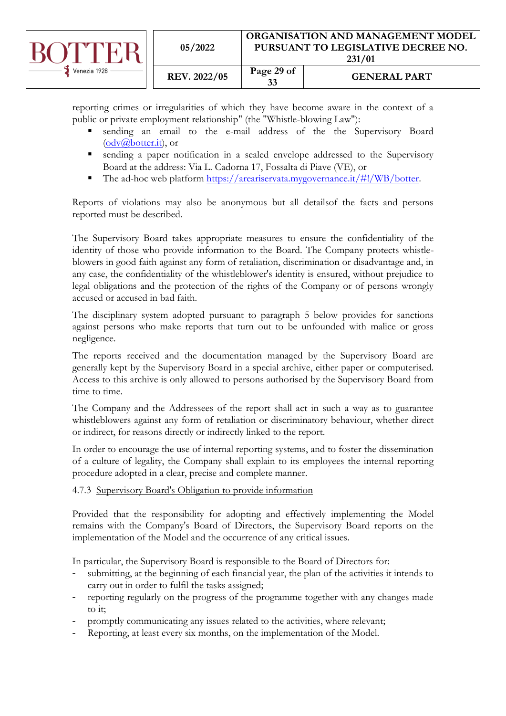|              | 05/2022             | ORGANISATION AND MANAGEMENT MODEL<br>PURSUANT TO LEGISLATIVE DECREE NO.<br>231/01 |                     |
|--------------|---------------------|-----------------------------------------------------------------------------------|---------------------|
| Venezia 1928 | <b>REV. 2022/05</b> | Page 29 of<br>33                                                                  | <b>GENERAL PART</b> |

reporting crimes or irregularities of which they have become aware in the context of a public or private employment relationship" (the "Whistle-blowing Law"):

- sending an email to the e-mail address of the the Supervisory Board [\(odv@botter.it\)](mailto:odv@botter.it), or
- sending a paper notification in a sealed envelope addressed to the Supervisory Board at the address: Via L. Cadorna 17, Fossalta di Piave (VE), or
- The ad-hoc web platform [https://areariservata.mygovernance.it/#!/WB/botter.](https://areariservata.mygovernance.it/#!/WB/botter)

Reports of violations may also be anonymous but all detailsof the facts and persons reported must be described.

The Supervisory Board takes appropriate measures to ensure the confidentiality of the identity of those who provide information to the Board. The Company protects whistleblowers in good faith against any form of retaliation, discrimination or disadvantage and, in any case, the confidentiality of the whistleblower's identity is ensured, without prejudice to legal obligations and the protection of the rights of the Company or of persons wrongly accused or accused in bad faith.

The disciplinary system adopted pursuant to paragraph 5 below provides for sanctions against persons who make reports that turn out to be unfounded with malice or gross negligence.

The reports received and the documentation managed by the Supervisory Board are generally kept by the Supervisory Board in a special archive, either paper or computerised. Access to this archive is only allowed to persons authorised by the Supervisory Board from time to time.

The Company and the Addressees of the report shall act in such a way as to guarantee whistleblowers against any form of retaliation or discriminatory behaviour, whether direct or indirect, for reasons directly or indirectly linked to the report.

In order to encourage the use of internal reporting systems, and to foster the dissemination of a culture of legality, the Company shall explain to its employees the internal reporting procedure adopted in a clear, precise and complete manner.

### <span id="page-28-0"></span>4.7.3 Supervisory Board's Obligation to provide information

Provided that the responsibility for adopting and effectively implementing the Model remains with the Company's Board of Directors, the Supervisory Board reports on the implementation of the Model and the occurrence of any critical issues.

In particular, the Supervisory Board is responsible to the Board of Directors for:

- submitting, at the beginning of each financial year, the plan of the activities it intends to carry out in order to fulfil the tasks assigned;
- reporting regularly on the progress of the programme together with any changes made to it;
- promptly communicating any issues related to the activities, where relevant;
- Reporting, at least every six months, on the implementation of the Model.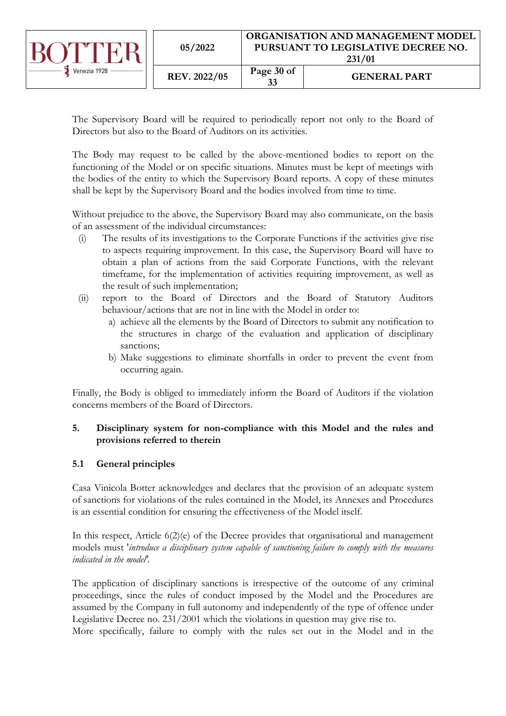|              | 05/2022      | <b>ORGANISATION AND MANAGEMENT MODEL</b><br>PURSUANT TO LEGISLATIVE DECREE NO.<br>231/01 |                     |
|--------------|--------------|------------------------------------------------------------------------------------------|---------------------|
| Venezia 1928 | REV. 2022/05 | Page 30 of<br>33                                                                         | <b>GENERAL PART</b> |

The Supervisory Board will be required to periodically report not only to the Board of Directors but also to the Board of Auditors on its activities.

The Body may request to be called by the above-mentioned bodies to report on the functioning of the Model or on specific situations. Minutes must be kept of meetings with the bodies of the entity to which the Supervisory Board reports. A copy of these minutes shall be kept by the Supervisory Board and the bodies involved from time to time.

Without prejudice to the above, the Supervisory Board may also communicate, on the basis of an assessment of the individual circumstances:

- (i) The results of its investigations to the Corporate Functions if the activities give rise to aspects requiring improvement. In this case, the Supervisory Board will have to obtain a plan of actions from the said Corporate Functions, with the relevant timeframe, for the implementation of activities requiring improvement, as well as the result of such implementation;
- (ii) report to the Board of Directors and the Board of Statutory Auditors behaviour/actions that are not in line with the Model in order to:
	- a) achieve all the elements by the Board of Directors to submit any notification to the structures in charge of the evaluation and application of disciplinary sanctions;
	- b) Make suggestions to eliminate shortfalls in order to prevent the event from occurring again.

Finally, the Body is obliged to immediately inform the Board of Auditors if the violation concerns members of the Board of Directors.

# <span id="page-29-0"></span>**5. Disciplinary system for non-compliance with this Model and the rules and provisions referred to therein**

# <span id="page-29-1"></span>**5.1 General principles**

Casa Vinicola Botter acknowledges and declares that the provision of an adequate system of sanctions for violations of the rules contained in the Model, its Annexes and Procedures is an essential condition for ensuring the effectiveness of the Model itself.

In this respect, Article 6(2)(e) of the Decree provides that organisational and management models must '*introduce a disciplinary system capable of sanctioning failure to comply with the measures indicated in the model'.*

The application of disciplinary sanctions is irrespective of the outcome of any criminal proceedings, since the rules of conduct imposed by the Model and the Procedures are assumed by the Company in full autonomy and independently of the type of offence under Legislative Decree no. 231/2001 which the violations in question may give rise to.

More specifically, failure to comply with the rules set out in the Model and in the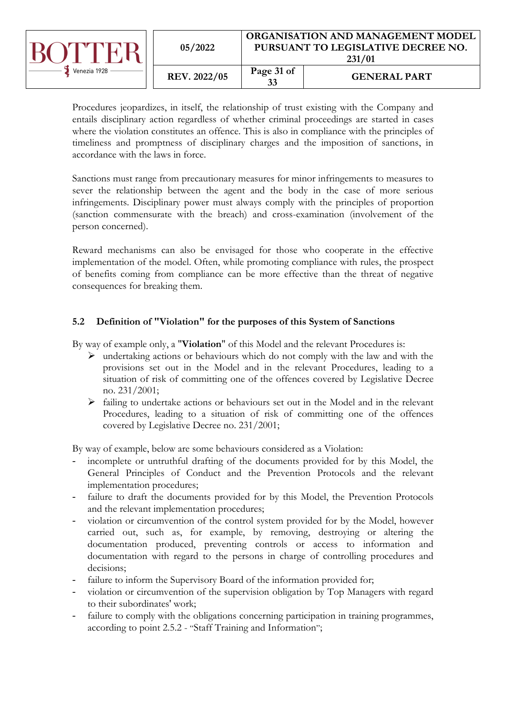|              | 05/2022             | <b>ORGANISATION AND MANAGEMENT MODEL</b><br>PURSUANT TO LEGISLATIVE DECREE NO.<br>231/01 |                     |
|--------------|---------------------|------------------------------------------------------------------------------------------|---------------------|
| Venezia 1928 | <b>REV. 2022/05</b> | Page 31 of<br>33                                                                         | <b>GENERAL PART</b> |

Procedures jeopardizes, in itself, the relationship of trust existing with the Company and entails disciplinary action regardless of whether criminal proceedings are started in cases where the violation constitutes an offence. This is also in compliance with the principles of timeliness and promptness of disciplinary charges and the imposition of sanctions, in accordance with the laws in force.

Sanctions must range from precautionary measures for minor infringements to measures to sever the relationship between the agent and the body in the case of more serious infringements. Disciplinary power must always comply with the principles of proportion (sanction commensurate with the breach) and cross-examination (involvement of the person concerned).

Reward mechanisms can also be envisaged for those who cooperate in the effective implementation of the model. Often, while promoting compliance with rules, the prospect of benefits coming from compliance can be more effective than the threat of negative consequences for breaking them.

# <span id="page-30-0"></span>**5.2 Definition of "Violation" for the purposes of this System of Sanctions**

By way of example only, a "**Violation**" of this Model and the relevant Procedures is:

- ➢ undertaking actions or behaviours which do not comply with the law and with the provisions set out in the Model and in the relevant Procedures, leading to a situation of risk of committing one of the offences covered by Legislative Decree no. 231/2001;
- ➢ failing to undertake actions or behaviours set out in the Model and in the relevant Procedures, leading to a situation of risk of committing one of the offences covered by Legislative Decree no. 231/2001;

By way of example, below are some behaviours considered as a Violation:

- incomplete or untruthful drafting of the documents provided for by this Model, the General Principles of Conduct and the Prevention Protocols and the relevant implementation procedures;
- failure to draft the documents provided for by this Model, the Prevention Protocols and the relevant implementation procedures;
- violation or circumvention of the control system provided for by the Model, however carried out, such as, for example, by removing, destroying or altering the documentation produced, preventing controls or access to information and documentation with regard to the persons in charge of controlling procedures and decisions;
- failure to inform the Supervisory Board of the information provided for;
- violation or circumvention of the supervision obligation by Top Managers with regard to their subordinates' work;
- failure to comply with the obligations concerning participation in training programmes, according to point 2.5.2 - "Staff Training and Information";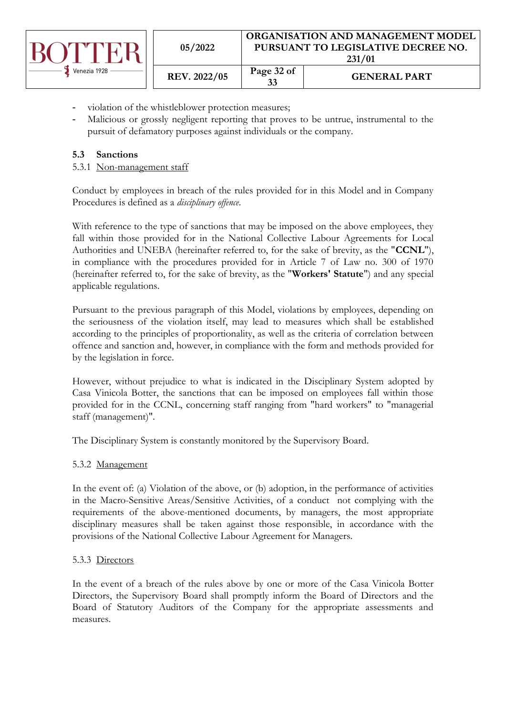|              | 05/2022      | ORGANISATION AND MANAGEMENT MODEL<br>PURSUANT TO LEGISLATIVE DECREE NO.<br>231/01 |                     |
|--------------|--------------|-----------------------------------------------------------------------------------|---------------------|
| Venezia 1928 | REV. 2022/05 | Page 32 of<br>33                                                                  | <b>GENERAL PART</b> |

- violation of the whistleblower protection measures;
- Malicious or grossly negligent reporting that proves to be untrue, instrumental to the pursuit of defamatory purposes against individuals or the company.

# <span id="page-31-0"></span>**5.3 Sanctions**

### <span id="page-31-1"></span>5.3.1 Non-management staff

Conduct by employees in breach of the rules provided for in this Model and in Company Procedures is defined as a *disciplinary offence*.

With reference to the type of sanctions that may be imposed on the above employees, they fall within those provided for in the National Collective Labour Agreements for Local Authorities and UNEBA (hereinafter referred to, for the sake of brevity, as the "**CCNL**"), in compliance with the procedures provided for in Article 7 of Law no. 300 of 1970 (hereinafter referred to, for the sake of brevity, as the "**Workers' Statute**") and any special applicable regulations.

Pursuant to the previous paragraph of this Model, violations by employees, depending on the seriousness of the violation itself, may lead to measures which shall be established according to the principles of proportionality, as well as the criteria of correlation between offence and sanction and, however, in compliance with the form and methods provided for by the legislation in force.

However, without prejudice to what is indicated in the Disciplinary System adopted by Casa Vinicola Botter, the sanctions that can be imposed on employees fall within those provided for in the CCNL, concerning staff ranging from "hard workers" to "managerial staff (management)".

The Disciplinary System is constantly monitored by the Supervisory Board.

### <span id="page-31-2"></span>5.3.2 Management

In the event of: (a) Violation of the above, or (b) adoption, in the performance of activities in the Macro-Sensitive Areas/Sensitive Activities, of a conduct not complying with the requirements of the above-mentioned documents, by managers, the most appropriate disciplinary measures shall be taken against those responsible, in accordance with the provisions of the National Collective Labour Agreement for Managers.

### <span id="page-31-3"></span>5.3.3 Directors

In the event of a breach of the rules above by one or more of the Casa Vinicola Botter Directors, the Supervisory Board shall promptly inform the Board of Directors and the Board of Statutory Auditors of the Company for the appropriate assessments and measures.